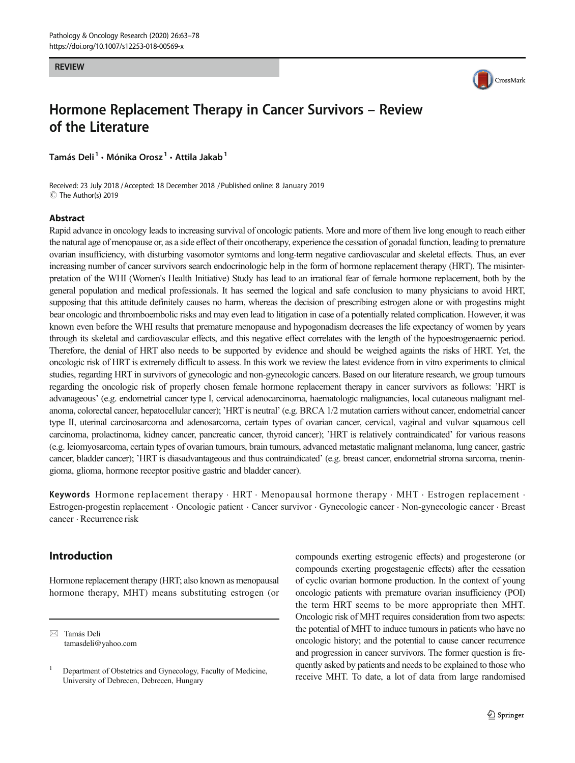#### **REVIEW**



# Hormone Replacement Therapy in Cancer Survivors – Review of the Literature

Tamás Deli<sup>1</sup> · Mónika Orosz<sup>1</sup> · Attila Jakab<sup>1</sup>

Received: 23 July 2018 /Accepted: 18 December 2018 /Published online: 8 January 2019C The Author(s) 2019

#### Abstract

Rapid advance in oncology leads to increasing survival of oncologic patients. More and more of them live long enough to reach either the natural age of menopause or, as a side effect of their oncotherapy, experience the cessation of gonadal function, leading to premature ovarian insufficiency, with disturbing vasomotor symtoms and long-term negative cardiovascular and skeletal effects. Thus, an ever increasing number of cancer survivors search endocrinologic help in the form of hormone replacement therapy (HRT). The misinterpretation of the WHI (Women's Health Initiative) Study has lead to an irrational fear of female hormone replacement, both by the general population and medical professionals. It has seemed the logical and safe conclusion to many physicians to avoid HRT, supposing that this attitude definitely causes no harm, whereas the decision of prescribing estrogen alone or with progestins might bear oncologic and thromboembolic risks and may even lead to litigation in case of a potentially related complication. However, it was known even before the WHI results that premature menopause and hypogonadism decreases the life expectancy of women by years through its skeletal and cardiovascular effects, and this negative effect correlates with the length of the hypoestrogenaemic period. Therefore, the denial of HRT also needs to be supported by evidence and should be weighed againts the risks of HRT. Yet, the oncologic risk of HRT is extremely difficult to assess. In this work we review the latest evidence from in vitro experiments to clinical studies, regarding HRT in survivors of gynecologic and non-gynecologic cancers. Based on our literature research, we group tumours regarding the oncologic risk of properly chosen female hormone replacement therapy in cancer survivors as follows: 'HRT is advanageous' (e.g. endometrial cancer type I, cervical adenocarcinoma, haematologic malignancies, local cutaneous malignant melanoma, colorectal cancer, hepatocellular cancer); 'HRT is neutral' (e.g. BRCA 1/2 mutation carriers without cancer, endometrial cancer type II, uterinal carcinosarcoma and adenosarcoma, certain types of ovarian cancer, cervical, vaginal and vulvar squamous cell carcinoma, prolactinoma, kidney cancer, pancreatic cancer, thyroid cancer); 'HRT is relatively contraindicated' for various reasons (e.g. leiomyosarcoma, certain types of ovarian tumours, brain tumours, advanced metastatic malignant melanoma, lung cancer, gastric cancer, bladder cancer); 'HRT is diasadvantageous and thus contraindicated' (e.g. breast cancer, endometrial stroma sarcoma, meningioma, glioma, hormone receptor positive gastric and bladder cancer).

Keywords Hormone replacement therapy . HRT . Menopausal hormone therapy . MHT . Estrogen replacement . Estrogen-progestin replacement . Oncologic patient . Cancer survivor . Gynecologic cancer . Non-gynecologic cancer . Breast cancer . Recurrence risk

# Introduction

Hormone replacement therapy (HRT; also known as menopausal hormone therapy, MHT) means substituting estrogen (or

 $\boxtimes$  Tamás Deli [tamasdeli@yahoo.com](mailto:tamasdeli@yahoo.com) compounds exerting estrogenic effects) and progesterone (or compounds exerting progestagenic effects) after the cessation of cyclic ovarian hormone production. In the context of young oncologic patients with premature ovarian insufficiency (POI) the term HRT seems to be more appropriate then MHT. Oncologic risk of MHT requires consideration from two aspects: the potential of MHT to induce tumours in patients who have no oncologic history; and the potential to cause cancer recurrence and progression in cancer survivors. The former question is frequently asked by patients and needs to be explained to those who receive MHT. To date, a lot of data from large randomised

<sup>1</sup> Department of Obstetrics and Gynecology, Faculty of Medicine, University of Debrecen, Debrecen, Hungary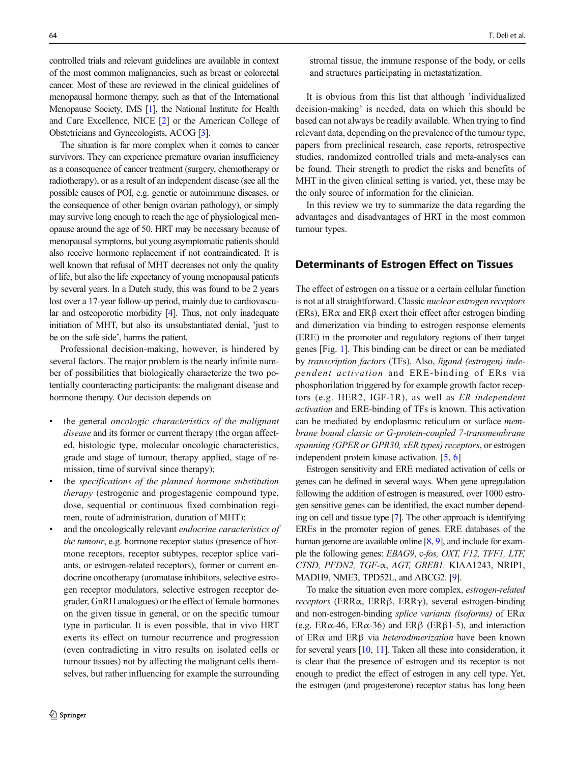controlled trials and relevant guidelines are available in context of the most common malignancies, such as breast or colorectal cancer. Most of these are reviewed in the clinical guidelines of menopausal hormone therapy, such as that of the International Menopause Society, IMS [[1](#page-10-0)], the National Institute for Health and Care Excellence, NICE [\[2](#page-10-0)] or the American College of Obstetricians and Gynecologists, ACOG [\[3\]](#page-10-0).

The situation is far more complex when it comes to cancer survivors. They can experience premature ovarian insufficiency as a consequence of cancer treatment (surgery, chemotherapy or radiotherapy), or as a result of an independent disease (see all the possible causes of POI, e.g. genetic or autoimmune diseases, or the consequence of other benign ovarian pathology), or simply may survive long enough to reach the age of physiological menopause around the age of 50. HRT may be necessary because of menopausal symptoms, but young asymptomatic patients should also receive hormone replacement if not contraindicated. It is well known that refusal of MHT decreases not only the quality of life, but also the life expectancy of young menopausal patients by several years. In a Dutch study, this was found to be 2 years lost over a 17-year follow-up period, mainly due to cardiovascular and osteoporotic morbidity [\[4](#page-10-0)]. Thus, not only inadequate initiation of MHT, but also its unsubstantiated denial, 'just to be on the safe side', harms the patient.

Professional decision-making, however, is hindered by several factors. The major problem is the nearly infinite number of possibilities that biologically characterize the two potentially counteracting participants: the malignant disease and hormone therapy. Our decision depends on

- the general *oncologic characteristics of the malignant* disease and its former or current therapy (the organ affected, histologic type, molecular oncologic characteristics, grade and stage of tumour, therapy applied, stage of remission, time of survival since therapy);
- the specifications of the planned hormone substitution therapy (estrogenic and progestagenic compound type, dose, sequential or continuous fixed combination regimen, route of administration, duration of MHT);
- and the oncologically relevant endocrine caracteristics of the tumour, e.g. hormone receptor status (presence of hormone receptors, receptor subtypes, receptor splice variants, or estrogen-related receptors), former or current endocrine oncotherapy (aromatase inhibitors, selective estrogen receptor modulators, selective estrogen receptor degrader, GnRH analogues) or the effect of female hormones on the given tissue in general, or on the specific tumour type in particular. It is even possible, that in vivo HRT exerts its effect on tumour recurrence and progression (even contradicting in vitro results on isolated cells or tumour tissues) not by affecting the malignant cells themselves, but rather influencing for example the surrounding

stromal tissue, the immune response of the body, or cells and structures participating in metastatization.

It is obvious from this list that although 'individualized decision-making' is needed, data on which this should be based can not always be readily available. When trying to find relevant data, depending on the prevalence of the tumour type, papers from preclinical research, case reports, retrospective studies, randomized controlled trials and meta-analyses can be found. Their strength to predict the risks and benefits of MHT in the given clinical setting is varied, yet, these may be the only source of information for the clinician.

In this review we try to summarize the data regarding the advantages and disadvantages of HRT in the most common tumour types.

## Determinants of Estrogen Effect on Tissues

The effect of estrogen on a tissue or a certain cellular function is not at all straightforward. Classic nuclear estrogen receptors (ERs), ER $\alpha$  and ER $\beta$  exert their effect after estrogen binding and dimerization via binding to estrogen response elements (ERE) in the promoter and regulatory regions of their target genes [Fig. [1](#page-2-0)]. This binding can be direct or can be mediated by transcription factors (TFs). Also, ligand (estrogen) independent activation and ERE-binding of ERs via phosphorilation triggered by for example growth factor receptors (e.g. HER2, IGF-1R), as well as ER independent activation and ERE-binding of TFs is known. This activation can be mediated by endoplasmic reticulum or surface membrane bound classic or G-protein-coupled 7-transmembrane spanning (GPER or GPR30, xER types) receptors, or estrogen independent protein kinase activation. [[5](#page-10-0), [6](#page-10-0)]

Estrogen sensitivity and ERE mediated activation of cells or genes can be defined in several ways. When gene upregulation following the addition of estrogen is measured, over 1000 estrogen sensitive genes can be identified, the exact number depending on cell and tissue type [\[7](#page-10-0)]. The other approach is identifying EREs in the promoter region of genes. ERE databases of the human genome are available online [\[8,](#page-10-0) [9\]](#page-10-0), and include for example the following genes: EBAG9, c-fos, OXT, F12, TFF1, LTF, CTSD, PFDN2, TGF-α, AGT, GREB1, KIAA1243, NRIP1, MADH9, NME3, TPD52L, and ABCG2. [[9](#page-10-0)].

To make the situation even more complex, estrogen-related receptors (ERRα, ERRβ, ERRγ), several estrogen-binding and non-estrogen-binding *splice variants* (isoforms) of  $ER\alpha$ (e.g. ER $\alpha$ -46, ER $\alpha$ -36) and ER $\beta$  (ER $\beta$ 1-5), and interaction of ERα and ERβ via heterodimerization have been known for several years [\[10](#page-10-0), [11](#page-10-0)]. Taken all these into consideration, it is clear that the presence of estrogen and its receptor is not enough to predict the effect of estrogen in any cell type. Yet, the estrogen (and progesterone) receptor status has long been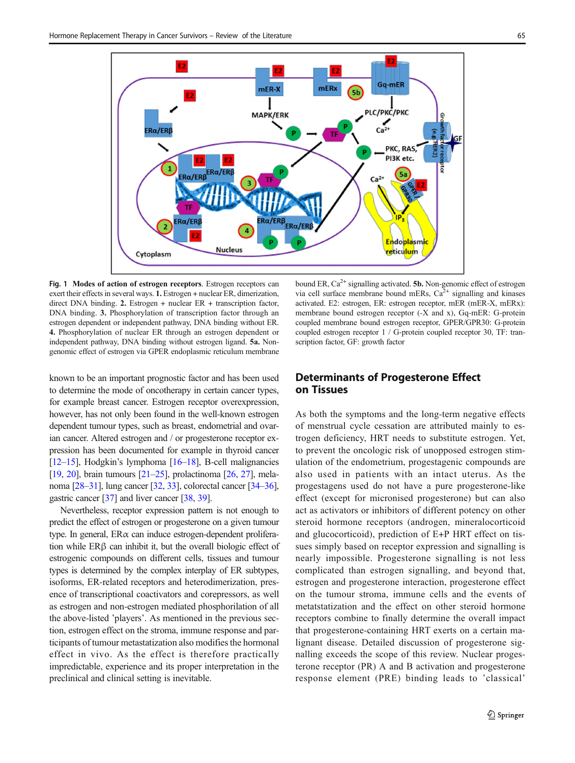<span id="page-2-0"></span>

Fig. 1 Modes of action of estrogen receptors. Estrogen receptors can exert their effects in several ways. 1. Estrogen + nuclear ER, dimerization, direct DNA binding. 2. Estrogen + nuclear ER + transcription factor, DNA binding. 3. Phosphorylation of transcription factor through an estrogen dependent or independent pathway, DNA binding without ER. 4. Phosphorylation of nuclear ER through an estrogen dependent or independent pathway, DNA binding without estrogen ligand. 5a. Nongenomic effect of estrogen via GPER endoplasmic reticulum membrane

known to be an important prognostic factor and has been used to determine the mode of oncotherapy in certain cancer types, for example breast cancer. Estrogen receptor overexpression, however, has not only been found in the well-known estrogen dependent tumour types, such as breast, endometrial and ovarian cancer. Altered estrogen and / or progesterone receptor expression has been documented for example in thyroid cancer [\[12](#page-10-0)–[15](#page-10-0)], Hodgkin's lymphoma [\[16](#page-10-0)–[18\]](#page-11-0), B-cell malignancies [\[19,](#page-11-0) [20\]](#page-11-0), brain tumours [\[21](#page-11-0)–[25](#page-11-0)], prolactinoma [[26](#page-11-0), [27](#page-11-0)], melanoma [[28](#page-11-0)–[31\]](#page-11-0), lung cancer [[32](#page-11-0), [33\]](#page-11-0), colorectal cancer [[34](#page-11-0)–[36\]](#page-11-0), gastric cancer [[37](#page-11-0)] and liver cancer [\[38,](#page-11-0) [39](#page-11-0)].

Nevertheless, receptor expression pattern is not enough to predict the effect of estrogen or progesterone on a given tumour type. In general,  $ER\alpha$  can induce estrogen-dependent proliferation while ERβ can inhibit it, but the overall biologic effect of estrogenic compounds on different cells, tissues and tumour types is determined by the complex interplay of ER subtypes, isoforms, ER-related receptors and heterodimerization, presence of transcriptional coactivators and corepressors, as well as estrogen and non-estrogen mediated phosphorilation of all the above-listed 'players'. As mentioned in the previous section, estrogen effect on the stroma, immune response and participants of tumour metastatization also modifies the hormonal effect in vivo. As the effect is therefore practically impredictable, experience and its proper interpretation in the preclinical and clinical setting is inevitable.

bound ER,  $Ca^{2+}$  signalling activated. **5b.** Non-genomic effect of estrogen via cell surface membrane bound mERs,  $Ca^{2+}$  signalling and kinases activated. E2: estrogen, ER: estrogen receptor, mER (mER-X, mERx): membrane bound estrogen receptor (-X and x), Gq-mER: G-protein coupled membrane bound estrogen receptor, GPER/GPR30: G-protein coupled estrogen receptor 1 / G-protein coupled receptor 30, TF: transcription factor, GF: growth factor

# Determinants of Progesterone Effect on Tissues

As both the symptoms and the long-term negative effects of menstrual cycle cessation are attributed mainly to estrogen deficiency, HRT needs to substitute estrogen. Yet, to prevent the oncologic risk of unopposed estrogen stimulation of the endometrium, progestagenic compounds are also used in patients with an intact uterus. As the progestagens used do not have a pure progesterone-like effect (except for micronised progesterone) but can also act as activators or inhibitors of different potency on other steroid hormone receptors (androgen, mineralocorticoid and glucocorticoid), prediction of E+P HRT effect on tissues simply based on receptor expression and signalling is nearly impossible. Progesterone signalling is not less complicated than estrogen signalling, and beyond that, estrogen and progesterone interaction, progesterone effect on the tumour stroma, immune cells and the events of metatstatization and the effect on other steroid hormone receptors combine to finally determine the overall impact that progesterone-containing HRT exerts on a certain malignant disease. Detailed discussion of progesterone signalling exceeds the scope of this review. Nuclear progesterone receptor (PR) A and B activation and progesterone response element (PRE) binding leads to 'classical'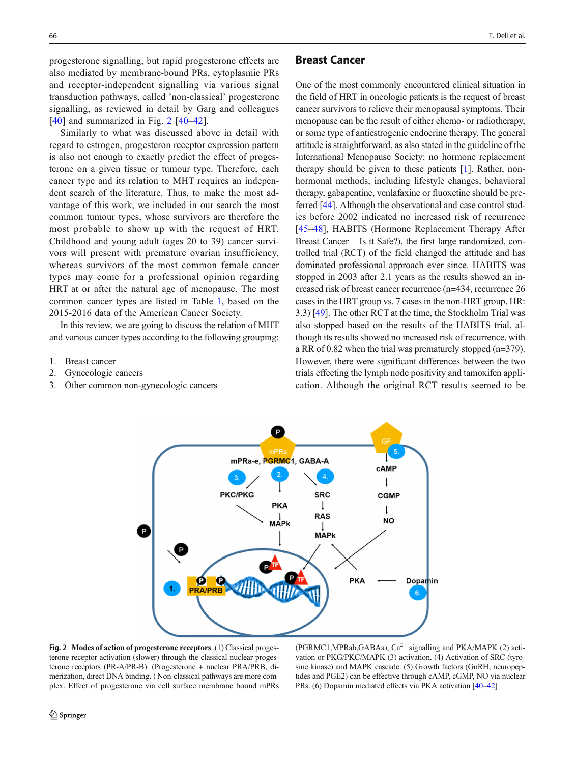progesterone signalling, but rapid progesterone effects are also mediated by membrane-bound PRs, cytoplasmic PRs and receptor-independent signalling via various signal transduction pathways, called 'non-classical' progesterone signalling, as reviewed in detail by Garg and colleagues [\[40\]](#page-11-0) and summarized in Fig. 2 [[40](#page-11-0)–[42\]](#page-11-0).

Similarly to what was discussed above in detail with regard to estrogen, progesteron receptor expression pattern is also not enough to exactly predict the effect of progesterone on a given tissue or tumour type. Therefore, each cancer type and its relation to MHT requires an independent search of the literature. Thus, to make the most advantage of this work, we included in our search the most common tumour types, whose survivors are therefore the most probable to show up with the request of HRT. Childhood and young adult (ages 20 to 39) cancer survivors will present with premature ovarian insufficiency, whereas survivors of the most common female cancer types may come for a professional opinion regarding HRT at or after the natural age of menopause. The most common cancer types are listed in Table [1,](#page-4-0) based on the 2015-2016 data of the American Cancer Society.

In this review, we are going to discuss the relation of MHT and various cancer types according to the following grouping:

- 1. Breast cancer
- 2. Gynecologic cancers
- 3. Other common non-gynecologic cancers

#### Breast Cancer

One of the most commonly encountered clinical situation in the field of HRT in oncologic patients is the request of breast cancer survivors to relieve their menopausal symptoms. Their menopause can be the result of either chemo- or radiotherapy, or some type of antiestrogenic endocrine therapy. The general attitude is straightforward, as also stated in the guideline of the International Menopause Society: no hormone replacement therapy should be given to these patients [\[1\]](#page-10-0). Rather, nonhormonal methods, including lifestyle changes, behavioral therapy, gabapentine, venlafaxine or fluoxetine should be preferred [\[44](#page-11-0)]. Although the observational and case control studies before 2002 indicated no increased risk of recurrence [\[45](#page-11-0)–[48\]](#page-11-0), HABITS (Hormone Replacement Therapy After Breast Cancer – Is it Safe?), the first large randomized, controlled trial (RCT) of the field changed the attitude and has dominated professional approach ever since. HABITS was stopped in 2003 after 2.1 years as the results showed an increased risk of breast cancer recurrence (n=434, recurrence 26 cases in the HRT group vs. 7 cases in the non-HRT group, HR: 3.3) [[49\]](#page-11-0). The other RCT at the time, the Stockholm Trial was also stopped based on the results of the HABITS trial, although its results showed no increased risk of recurrence, with a RR of 0.82 when the trial was prematurely stopped (n=379). However, there were significant differences between the two trials effecting the lymph node positivity and tamoxifen application. Although the original RCT results seemed to be



Fig. 2 Modes of action of progesterone receptors. (1) Classical progesterone receptor activation (slower) through the classical nuclear progesterone receptors (PR-A/PR-B). (Progesterone + nuclear PRA/PRB, dimerization, direct DNA binding. ) Non-classical pathways are more complex. Effect of progesterone via cell surface membrane bound mPRs

(PGRMC1,MPRab,GABAa), Ca<sup>2+</sup> signalling and PKA/MAPK (2) activation or PKG/PKC/MAPK (3) activation. (4) Activation of SRC (tyrosine kinase) and MAPK cascade. (5) Growth factors (GnRH, neuropeptides and PGE2) can be effective through cAMP, cGMP, NO via nuclear PRs. (6) Dopamin mediated effects via PKA activation [\[40](#page-11-0)–[42\]](#page-11-0)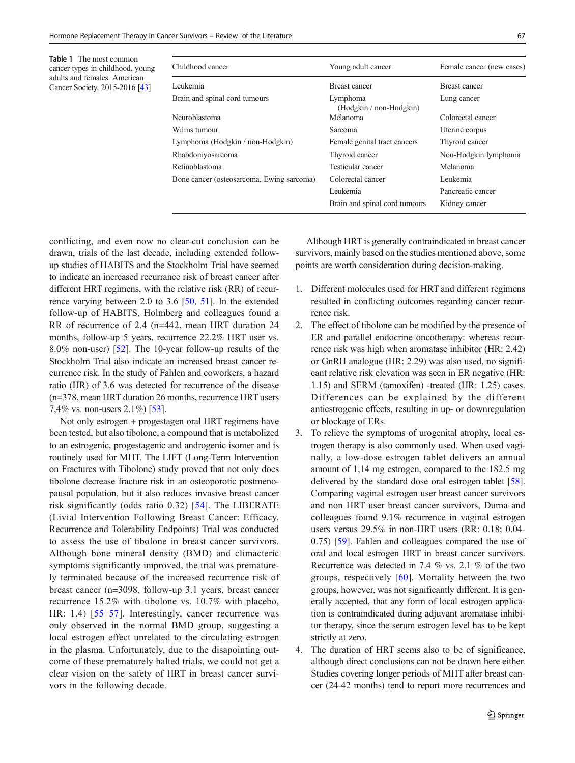| he most common<br>es in childhood, young   | Childhood cancer                          | Young adult cancer                  | Female cancer (new cases) |  |
|--------------------------------------------|-------------------------------------------|-------------------------------------|---------------------------|--|
| females. American<br>ciety, 2015-2016 [43] | Leukemia                                  | Breast cancer                       | <b>Breast cancer</b>      |  |
|                                            | Brain and spinal cord tumours             | Lymphoma<br>(Hodgkin / non-Hodgkin) | Lung cancer               |  |
|                                            | Neuroblastoma                             | Melanoma                            | Colorectal cancer         |  |
|                                            | Wilms tumour                              | Sarcoma                             | Uterine corpus            |  |
|                                            | Lymphoma (Hodgkin / non-Hodgkin)          | Female genital tract cancers        | Thyroid cancer            |  |
|                                            | Rhabdomyosarcoma                          | Thyroid cancer                      | Non-Hodgkin lymphoma      |  |
|                                            | Retinoblastoma                            | Testicular cancer                   | Melanoma                  |  |
|                                            | Bone cancer (osteosarcoma, Ewing sarcoma) | Colorectal cancer                   | Leukemia                  |  |
|                                            |                                           | Leukemia                            | Pancreatic cancer         |  |
|                                            |                                           | Brain and spinal cord tumours       | Kidney cancer             |  |

<span id="page-4-0"></span>Table 1 Th cancer type adults and Cancer Soc

conflicting, and even now no clear-cut conclusion can be drawn, trials of the last decade, including extended followup studies of HABITS and the Stockholm Trial have seemed to indicate an increased recurrance risk of breast cancer after different HRT regimens, with the relative risk (RR) of recurrence varying between 2.0 to 3.6 [[50](#page-11-0), [51](#page-11-0)]. In the extended follow-up of HABITS, Holmberg and colleagues found a RR of recurrence of 2.4 (n=442, mean HRT duration 24 months, follow-up 5 years, recurrence 22.2% HRT user vs. 8.0% non-user) [\[52](#page-11-0)]. The 10-year follow-up results of the Stockholm Trial also indicate an increased breast cancer recurrence risk. In the study of Fahlen and coworkers, a hazard ratio (HR) of 3.6 was detected for recurrence of the disease (n=378, mean HRT duration 26 months, recurrence HRT users 7,4% vs. non-users 2.1%) [\[53](#page-12-0)].

Not only estrogen + progestagen oral HRT regimens have been tested, but also tibolone, a compound that is metabolized to an estrogenic, progestagenic and androgenic isomer and is routinely used for MHT. The LIFT (Long-Term Intervention on Fractures with Tibolone) study proved that not only does tibolone decrease fracture risk in an osteoporotic postmenopausal population, but it also reduces invasive breast cancer risk significantly (odds ratio 0.32) [[54](#page-12-0)]. The LIBERATE (Livial Intervention Following Breast Cancer: Efficacy, Recurrence and Tolerability Endpoints) Trial was conducted to assess the use of tibolone in breast cancer survivors. Although bone mineral density (BMD) and climacteric symptoms significantly improved, the trial was prematurely terminated because of the increased recurrence risk of breast cancer (n=3098, follow-up 3.1 years, breast cancer recurrence 15.2% with tibolone vs. 10.7% with placebo, HR: 1.4) [\[55](#page-12-0)–[57](#page-12-0)]. Interestingly, cancer recurrence was only observed in the normal BMD group, suggesting a local estrogen effect unrelated to the circulating estrogen in the plasma. Unfortunately, due to the disapointing outcome of these prematurely halted trials, we could not get a clear vision on the safety of HRT in breast cancer survivors in the following decade.

Although HRT is generally contraindicated in breast cancer survivors, mainly based on the studies mentioned above, some points are worth consideration during decision-making.

- 1. Different molecules used for HRT and different regimens resulted in conflicting outcomes regarding cancer recurrence risk.
- 2. The effect of tibolone can be modified by the presence of ER and parallel endocrine oncotherapy: whereas recurrence risk was high when aromatase inhibitor (HR: 2.42) or GnRH analogue (HR: 2.29) was also used, no significant relative risk elevation was seen in ER negative (HR: 1.15) and SERM (tamoxifen) -treated (HR: 1.25) cases. Differences can be explained by the different antiestrogenic effects, resulting in up- or downregulation or blockage of ERs.
- 3. To relieve the symptoms of urogenital atrophy, local estrogen therapy is also commonly used. When used vaginally, a low-dose estrogen tablet delivers an annual amount of 1,14 mg estrogen, compared to the 182.5 mg delivered by the standard dose oral estrogen tablet [[58\]](#page-12-0). Comparing vaginal estrogen user breast cancer survivors and non HRT user breast cancer survivors, Durna and colleagues found 9.1% recurrence in vaginal estrogen users versus 29.5% in non-HRT users (RR: 0.18; 0.04- 0.75) [[59](#page-12-0)]. Fahlen and colleagues compared the use of oral and local estrogen HRT in breast cancer survivors. Recurrence was detected in 7.4 % vs. 2.1 % of the two groups, respectively [[60](#page-12-0)]. Mortality between the two groups, however, was not significantly different. It is generally accepted, that any form of local estrogen application is contraindicated during adjuvant aromatase inhibitor therapy, since the serum estrogen level has to be kept strictly at zero.
- 4. The duration of HRT seems also to be of significance, although direct conclusions can not be drawn here either. Studies covering longer periods of MHT after breast cancer (24-42 months) tend to report more recurrences and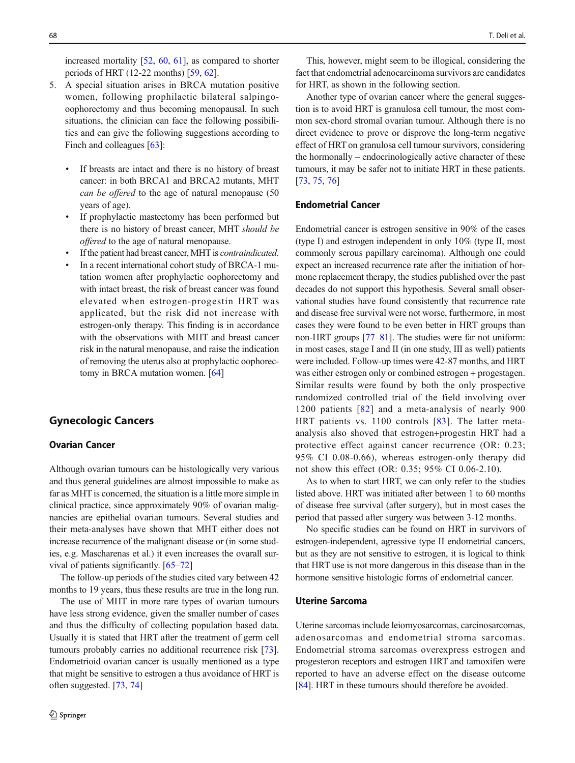increased mortality [[52](#page-11-0), [60,](#page-12-0) [61\]](#page-12-0), as compared to shorter periods of HRT (12-22 months) [[59,](#page-12-0) [62](#page-12-0)].

- 5. A special situation arises in BRCA mutation positive women, following prophilactic bilateral salpingooophorectomy and thus becoming menopausal. In such situations, the clinician can face the following possibilities and can give the following suggestions according to Finch and colleagues [\[63](#page-12-0)]:
	- & If breasts are intact and there is no history of breast cancer: in both BRCA1 and BRCA2 mutants, MHT can be offered to the age of natural menopause (50 years of age).
	- & If prophylactic mastectomy has been performed but there is no history of breast cancer, MHT should be offered to the age of natural menopause.
	- If the patient had breast cancer, MHT is *contraindicated*.
	- In a recent international cohort study of BRCA-1 mutation women after prophylactic oophorectomy and with intact breast, the risk of breast cancer was found elevated when estrogen-progestin HRT was applicated, but the risk did not increase with estrogen-only therapy. This finding is in accordance with the observations with MHT and breast cancer risk in the natural menopause, and raise the indication of removing the uterus also at prophylactic oophorectomy in BRCA mutation women. [\[64\]](#page-12-0)

# Gynecologic Cancers

#### Ovarian Cancer

Although ovarian tumours can be histologically very various and thus general guidelines are almost impossible to make as far as MHT is concerned, the situation is a little more simple in clinical practice, since approximately 90% of ovarian malignancies are epithelial ovarian tumours. Several studies and their meta-analyses have shown that MHT either does not increase recurrence of the malignant disease or (in some studies, e.g. Mascharenas et al.) it even increases the ovarall survival of patients significantly. [[65](#page-12-0)–[72](#page-12-0)]

The follow-up periods of the studies cited vary between 42 months to 19 years, thus these results are true in the long run.

The use of MHT in more rare types of ovarian tumours have less strong evidence, given the smaller number of cases and thus the difficulty of collecting population based data. Usually it is stated that HRT after the treatment of germ cell tumours probably carries no additional recurrence risk [[73\]](#page-12-0). Endometrioid ovarian cancer is usually mentioned as a type that might be sensitive to estrogen a thus avoidance of HRT is often suggested. [[73,](#page-12-0) [74\]](#page-12-0)

This, however, might seem to be illogical, considering the fact that endometrial adenocarcinoma survivors are candidates for HRT, as shown in the following section.

Another type of ovarian cancer where the general suggestion is to avoid HRT is granulosa cell tumour, the most common sex-chord stromal ovarian tumour. Although there is no direct evidence to prove or disprove the long-term negative effect of HRT on granulosa cell tumour survivors, considering the hormonally – endocrinologically active character of these tumours, it may be safer not to initiate HRT in these patients. [\[73](#page-12-0), [75,](#page-12-0) [76\]](#page-12-0)

## Endometrial Cancer

Endometrial cancer is estrogen sensitive in 90% of the cases (type I) and estrogen independent in only 10% (type II, most commonly serous papillary carcinoma). Although one could expect an increased recurrence rate after the initiation of hormone replacement therapy, the studies published over the past decades do not support this hypothesis. Several small observational studies have found consistently that recurrence rate and disease free survival were not worse, furthermore, in most cases they were found to be even better in HRT groups than non-HRT groups [[77](#page-12-0)–[81](#page-12-0)]. The studies were far not uniform: in most cases, stage I and II (in one study, III as well) patients were included. Follow-up times were 42-87 months, and HRT was either estrogen only or combined estrogen + progestagen. Similar results were found by both the only prospective randomized controlled trial of the field involving over 1200 patients [[82\]](#page-12-0) and a meta-analysis of nearly 900 HRT patients vs. 1100 controls [\[83\]](#page-13-0). The latter metaanalysis also shoved that estrogen+progestin HRT had a protective effect against cancer recurrence (OR: 0.23; 95% CI 0.08-0.66), whereas estrogen-only therapy did not show this effect (OR: 0.35; 95% CI 0.06-2.10).

As to when to start HRT, we can only refer to the studies listed above. HRT was initiated after between 1 to 60 months of disease free survival (after surgery), but in most cases the period that passed after surgery was between 3-12 months.

No specific studies can be found on HRT in survivors of estrogen-independent, agressive type II endometrial cancers, but as they are not sensitive to estrogen, it is logical to think that HRT use is not more dangerous in this disease than in the hormone sensitive histologic forms of endometrial cancer.

## Uterine Sarcoma

Uterine sarcomas include leiomyosarcomas, carcinosarcomas, adenosarcomas and endometrial stroma sarcomas. Endometrial stroma sarcomas overexpress estrogen and progesteron receptors and estrogen HRT and tamoxifen were reported to have an adverse effect on the disease outcome [\[84](#page-13-0)]. HRT in these tumours should therefore be avoided.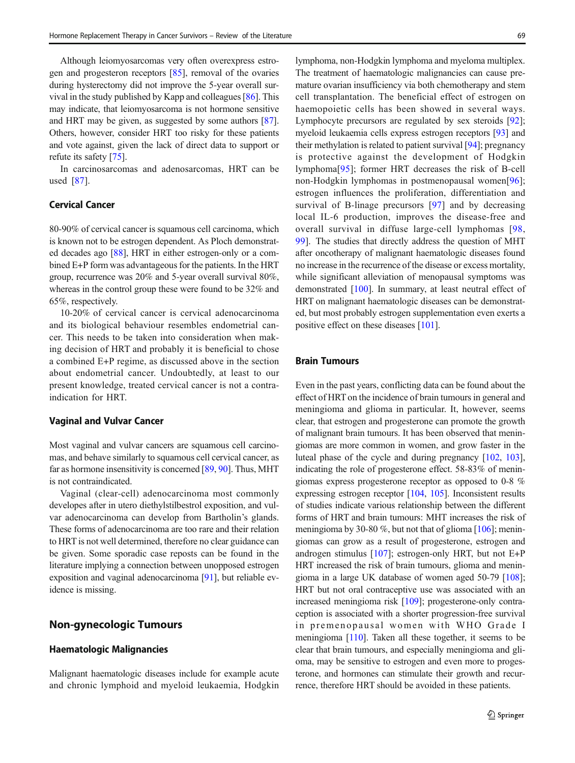Although leiomyosarcomas very often overexpress estrogen and progesteron receptors [[85\]](#page-13-0), removal of the ovaries during hysterectomy did not improve the 5-year overall survival in the study published by Kapp and colleagues [[86](#page-13-0)]. This may indicate, that leiomyosarcoma is not hormone sensitive and HRT may be given, as suggested by some authors [[87\]](#page-13-0). Others, however, consider HRT too risky for these patients and vote against, given the lack of direct data to support or refute its safety [\[75](#page-12-0)].

In carcinosarcomas and adenosarcomas, HRT can be used [\[87\]](#page-13-0).

## Cervical Cancer

80-90% of cervical cancer is squamous cell carcinoma, which is known not to be estrogen dependent. As Ploch demonstrated decades ago [[88\]](#page-13-0), HRT in either estrogen-only or a combined E+P form was advantageous for the patients. In the HRT group, recurrence was 20% and 5-year overall survival 80%, whereas in the control group these were found to be 32% and 65%, respectively.

10-20% of cervical cancer is cervical adenocarcinoma and its biological behaviour resembles endometrial cancer. This needs to be taken into consideration when making decision of HRT and probably it is beneficial to chose a combined E+P regime, as discussed above in the section about endometrial cancer. Undoubtedly, at least to our present knowledge, treated cervical cancer is not a contraindication for HRT.

#### Vaginal and Vulvar Cancer

Most vaginal and vulvar cancers are squamous cell carcinomas, and behave similarly to squamous cell cervical cancer, as far as hormone insensitivity is concerned [\[89,](#page-13-0) [90](#page-13-0)]. Thus, MHT is not contraindicated.

Vaginal (clear-cell) adenocarcinoma most commonly developes after in utero diethylstilbestrol exposition, and vulvar adenocarcinoma can develop from Bartholin's glands. These forms of adenocarcinoma are too rare and their relation to HRT is not well determined, therefore no clear guidance can be given. Some sporadic case reposts can be found in the literature implying a connection between unopposed estrogen exposition and vaginal adenocarcinoma [[91\]](#page-13-0), but reliable evidence is missing.

## Non-gynecologic Tumours

#### Haematologic Malignancies

Malignant haematologic diseases include for example acute and chronic lymphoid and myeloid leukaemia, Hodgkin lymphoma, non-Hodgkin lymphoma and myeloma multiplex. The treatment of haematologic malignancies can cause premature ovarian insufficiency via both chemotherapy and stem cell transplantation. The beneficial effect of estrogen on haemopoietic cells has been showed in several ways. Lymphocyte precursors are regulated by sex steroids [\[92](#page-13-0)]; myeloid leukaemia cells express estrogen receptors [\[93\]](#page-13-0) and their methylation is related to patient survival [[94](#page-13-0)]; pregnancy is protective against the development of Hodgkin lymphoma[[95\]](#page-13-0); former HRT decreases the risk of B-cell non-Hodgkin lymphomas in postmenopausal women[[96](#page-13-0)]; estrogen influences the proliferation, differentiation and survival of B-linage precursors [[97\]](#page-13-0) and by decreasing local IL-6 production, improves the disease-free and overall survival in diffuse large-cell lymphomas [[98,](#page-13-0) [99](#page-13-0)]. The studies that directly address the question of MHT after oncotherapy of malignant haematologic diseases found no increase in the recurrence of the disease or excess mortality, while significant alleviation of menopausal symptoms was demonstrated [[100\]](#page-13-0). In summary, at least neutral effect of HRT on malignant haematologic diseases can be demonstrated, but most probably estrogen supplementation even exerts a positive effect on these diseases [[101\]](#page-13-0).

#### Brain Tumours

Even in the past years, conflicting data can be found about the effect of HRT on the incidence of brain tumours in general and meningioma and glioma in particular. It, however, seems clear, that estrogen and progesterone can promote the growth of malignant brain tumours. It has been observed that meningiomas are more common in women, and grow faster in the luteal phase of the cycle and during pregnancy [\[102,](#page-13-0) [103\]](#page-13-0), indicating the role of progesterone effect. 58-83% of meningiomas express progesterone receptor as opposed to 0-8 % expressing estrogen receptor [\[104,](#page-13-0) [105](#page-13-0)]. Inconsistent results of studies indicate various relationship between the different forms of HRT and brain tumours: MHT increases the risk of meningioma by 30-80 %, but not that of glioma  $[106]$ ; meningiomas can grow as a result of progesterone, estrogen and androgen stimulus  $[107]$ ; estrogen-only HRT, but not E+P HRT increased the risk of brain tumours, glioma and meningioma in a large UK database of women aged 50-79 [[108](#page-13-0)]; HRT but not oral contraceptive use was associated with an increased meningioma risk [\[109\]](#page-13-0); progesterone-only contraception is associated with a shorter progression-free survival in premenopausal women with WHO Grade I meningioma [[110](#page-13-0)]. Taken all these together, it seems to be clear that brain tumours, and especially meningioma and glioma, may be sensitive to estrogen and even more to progesterone, and hormones can stimulate their growth and recurrence, therefore HRT should be avoided in these patients.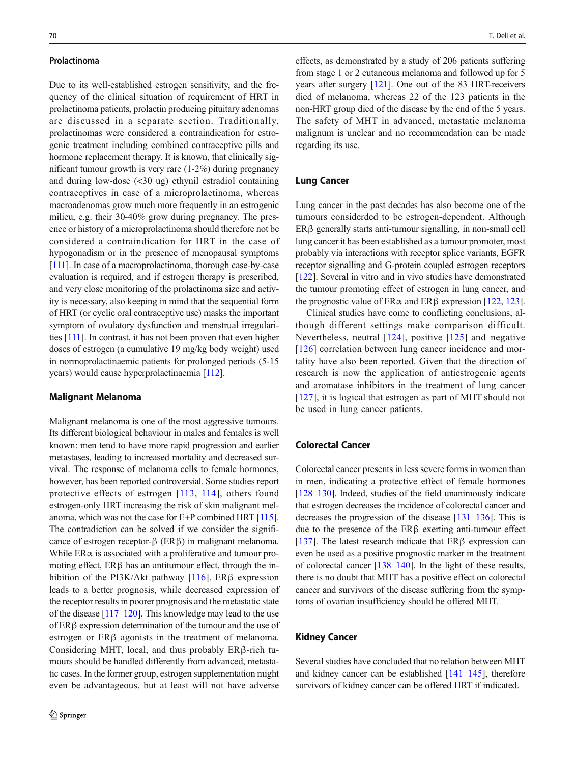#### Prolactinoma

Due to its well-established estrogen sensitivity, and the frequency of the clinical situation of requirement of HRT in prolactinoma patients, prolactin producing pituitary adenomas are discussed in a separate section. Traditionally, prolactinomas were considered a contraindication for estrogenic treatment including combined contraceptive pills and hormone replacement therapy. It is known, that clinically significant tumour growth is very rare (1-2%) during pregnancy and during low-dose (<30 ug) ethynil estradiol containing contraceptives in case of a microprolactinoma, whereas macroadenomas grow much more frequently in an estrogenic milieu, e.g. their 30-40% grow during pregnancy. The presence or history of a microprolactinoma should therefore not be considered a contraindication for HRT in the case of hypogonadism or in the presence of menopausal symptoms [\[111](#page-13-0)]. In case of a macroprolactinoma, thorough case-by-case evaluation is required, and if estrogen therapy is prescribed, and very close monitoring of the prolactinoma size and activity is necessary, also keeping in mind that the sequential form of HRT (or cyclic oral contraceptive use) masks the important symptom of ovulatory dysfunction and menstrual irregularities [[111\]](#page-13-0). In contrast, it has not been proven that even higher doses of estrogen (a cumulative 19 mg/kg body weight) used in normoprolactinaemic patients for prolonged periods (5-15 years) would cause hyperprolactinaemia [\[112\]](#page-13-0).

#### Malignant Melanoma

Malignant melanoma is one of the most aggressive tumours. Its different biological behaviour in males and females is well known: men tend to have more rapid progression and earlier metastases, leading to increased mortality and decreased survival. The response of melanoma cells to female hormones, however, has been reported controversial. Some studies report protective effects of estrogen [[113,](#page-13-0) [114](#page-13-0)], others found estrogen-only HRT increasing the risk of skin malignant melanoma, which was not the case for E+P combined HRT [\[115\]](#page-13-0). The contradiction can be solved if we consider the significance of estrogen receptor-β (ERβ) in malignant melanoma. While  $ER\alpha$  is associated with a proliferative and tumour promoting effect,  $ER\beta$  has an antitumour effect, through the inhibition of the PI3K/Akt pathway [\[116](#page-13-0)]. ERβ expression leads to a better prognosis, while decreased expression of the receptor results in poorer prognosis and the metastatic state of the disease [[117](#page-13-0)–[120\]](#page-13-0). This knowledge may lead to the use of ERβ expression determination of the tumour and the use of estrogen or ERβ agonists in the treatment of melanoma. Considering MHT, local, and thus probably ERβ-rich tumours should be handled differently from advanced, metastatic cases. In the former group, estrogen supplementation might even be advantageous, but at least will not have adverse

effects, as demonstrated by a study of 206 patients suffering from stage 1 or 2 cutaneous melanoma and followed up for 5 years after surgery [\[121\]](#page-14-0). One out of the 83 HRT-receivers died of melanoma, whereas 22 of the 123 patients in the non-HRT group died of the disease by the end of the 5 years. The safety of MHT in advanced, metastatic melanoma malignum is unclear and no recommendation can be made regarding its use.

### Lung Cancer

Lung cancer in the past decades has also become one of the tumours considerded to be estrogen-dependent. Although ERβ generally starts anti-tumour signalling, in non-small cell lung cancer it has been established as a tumour promoter, most probably via interactions with receptor splice variants, EGFR receptor signalling and G-protein coupled estrogen receptors [\[122\]](#page-14-0). Several in vitro and in vivo studies have demonstrated the tumour promoting effect of estrogen in lung cancer, and the prognostic value of  $ER\alpha$  and  $ER\beta$  expression [\[122](#page-14-0), [123\]](#page-14-0).

Clinical studies have come to conflicting conclusions, although different settings make comparison difficult. Nevertheless, neutral [[124](#page-14-0)], positive [[125](#page-14-0)] and negative [\[126\]](#page-14-0) correlation between lung cancer incidence and mortality have also been reported. Given that the direction of research is now the application of antiestrogenic agents and aromatase inhibitors in the treatment of lung cancer [\[127\]](#page-14-0), it is logical that estrogen as part of MHT should not be used in lung cancer patients.

#### Colorectal Cancer

Colorectal cancer presents in less severe forms in women than in men, indicating a protective effect of female hormones [\[128](#page-14-0)–[130\]](#page-14-0). Indeed, studies of the field unanimously indicate that estrogen decreases the incidence of colorectal cancer and decreases the progression of the disease [\[131](#page-14-0)–[136\]](#page-14-0). This is due to the presence of the ERβ exerting anti-tumour effect [ $137$ ]. The latest research indicate that ER $\beta$  expression can even be used as a positive prognostic marker in the treatment of colorectal cancer [[138](#page-14-0)–[140\]](#page-14-0). In the light of these results, there is no doubt that MHT has a positive effect on colorectal cancer and survivors of the disease suffering from the symptoms of ovarian insufficiency should be offered MHT.

#### Kidney Cancer

Several studies have concluded that no relation between MHT and kidney cancer can be established  $[141–145]$  $[141–145]$  $[141–145]$  $[141–145]$ , therefore survivors of kidney cancer can be offered HRT if indicated.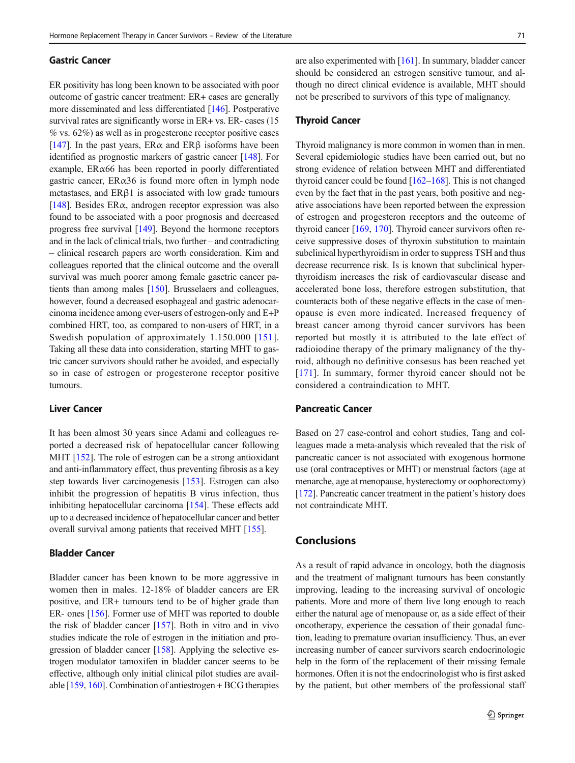#### Gastric Cancer

ER positivity has long been known to be associated with poor outcome of gastric cancer treatment: ER+ cases are generally more disseminated and less differentiated [\[146](#page-14-0)]. Postperative survival rates are significantly worse in ER+ vs. ER- cases (15  $\%$  vs. 62%) as well as in progesterone receptor positive cases [\[147\]](#page-14-0). In the past years,  $ER\alpha$  and  $ER\beta$  isoforms have been identified as prognostic markers of gastric cancer [\[148\]](#page-14-0). For example, ERα66 has been reported in poorly differentiated gastric cancer,  $ER\alpha 36$  is found more often in lymph node metastases, and  $ER\beta1$  is associated with low grade tumours [\[148\]](#page-14-0). Besides  $ER\alpha$ , androgen receptor expression was also found to be associated with a poor prognosis and decreased progress free survival [\[149\]](#page-14-0). Beyond the hormone receptors and in the lack of clinical trials, two further – and contradicting – clinical research papers are worth consideration. Kim and colleagues reported that the clinical outcome and the overall survival was much poorer among female gasctric cancer patients than among males [[150](#page-14-0)]. Brusselaers and colleagues, however, found a decreased esophageal and gastric adenocarcinoma incidence among ever-users of estrogen-only and E+P combined HRT, too, as compared to non-users of HRT, in a Swedish population of approximately 1.150.000 [\[151](#page-14-0)]. Taking all these data into consideration, starting MHT to gastric cancer survivors should rather be avoided, and especially so in case of estrogen or progesterone receptor positive tumours.

#### Liver Cancer

It has been almost 30 years since Adami and colleagues reported a decreased risk of hepatocellular cancer following MHT [[152](#page-14-0)]. The role of estrogen can be a strong antioxidant and anti-inflammatory effect, thus preventing fibrosis as a key step towards liver carcinogenesis [\[153](#page-14-0)]. Estrogen can also inhibit the progression of hepatitis B virus infection, thus inhibiting hepatocellular carcinoma [\[154](#page-14-0)]. These effects add up to a decreased incidence of hepatocellular cancer and better overall survival among patients that received MHT [[155](#page-15-0)].

# Bladder Cancer

Bladder cancer has been known to be more aggressive in women then in males. 12-18% of bladder cancers are ER positive, and ER+ tumours tend to be of higher grade than ER- ones [\[156](#page-15-0)]. Former use of MHT was reported to double the risk of bladder cancer [\[157\]](#page-15-0). Both in vitro and in vivo studies indicate the role of estrogen in the initiation and progression of bladder cancer [\[158\]](#page-15-0). Applying the selective estrogen modulator tamoxifen in bladder cancer seems to be effective, although only initial clinical pilot studies are available [\[159,](#page-15-0) [160\]](#page-15-0). Combination of antiestrogen + BCG therapies are also experimented with [\[161\]](#page-15-0). In summary, bladder cancer should be considered an estrogen sensitive tumour, and although no direct clinical evidence is available, MHT should not be prescribed to survivors of this type of malignancy.

#### Thyroid Cancer

Thyroid malignancy is more common in women than in men. Several epidemiologic studies have been carried out, but no strong evidence of relation between MHT and differentiated thyroid cancer could be found [\[162](#page-15-0)–[168](#page-15-0)]. This is not changed even by the fact that in the past years, both positive and negative associations have been reported between the expression of estrogen and progesteron receptors and the outcome of thyroid cancer [[169](#page-15-0), [170](#page-15-0)]. Thyroid cancer survivors often receive suppressive doses of thyroxin substitution to maintain subclinical hyperthyroidism in order to suppress TSH and thus decrease recurrence risk. Is is known that subclinical hyperthyroidism increases the risk of cardiovascular disease and accelerated bone loss, therefore estrogen substitution, that counteracts both of these negative effects in the case of menopause is even more indicated. Increased frequency of breast cancer among thyroid cancer survivors has been reported but mostly it is attributed to the late effect of radioiodine therapy of the primary malignancy of the thyroid, although no definitive consesus has been reached yet [\[171\]](#page-15-0). In summary, former thyroid cancer should not be considered a contraindication to MHT.

#### Pancreatic Cancer

Based on 27 case-control and cohort studies, Tang and colleagues made a meta-analysis which revealed that the risk of pancreatic cancer is not associated with exogenous hormone use (oral contraceptives or MHT) or menstrual factors (age at menarche, age at menopause, hysterectomy or oophorectomy) [\[172\]](#page-15-0). Pancreatic cancer treatment in the patient's history does not contraindicate MHT.

# Conclusions

As a result of rapid advance in oncology, both the diagnosis and the treatment of malignant tumours has been constantly improving, leading to the increasing survival of oncologic patients. More and more of them live long enough to reach either the natural age of menopause or, as a side effect of their oncotherapy, experience the cessation of their gonadal function, leading to premature ovarian insufficiency. Thus, an ever increasing number of cancer survivors search endocrinologic help in the form of the replacement of their missing female hormones. Often it is not the endocrinologist who is first asked by the patient, but other members of the professional staff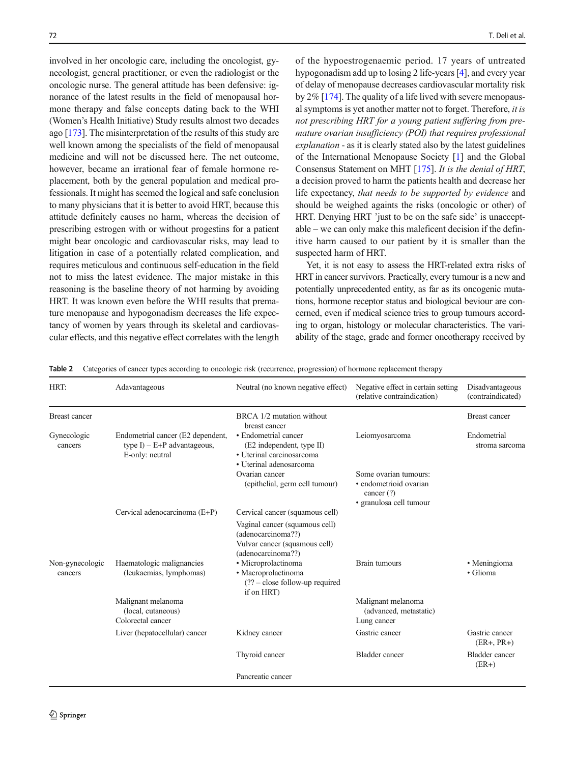<span id="page-9-0"></span>involved in her oncologic care, including the oncologist, gynecologist, general practitioner, or even the radiologist or the oncologic nurse. The general attitude has been defensive: ignorance of the latest results in the field of menopausal hormone therapy and false concepts dating back to the WHI (Women's Health Initiative) Study results almost two decades ago [\[173\]](#page-15-0). The misinterpretation of the results of this study are well known among the specialists of the field of menopausal medicine and will not be discussed here. The net outcome, however, became an irrational fear of female hormone replacement, both by the general population and medical professionals. It might has seemed the logical and safe conclusion to many physicians that it is better to avoid HRT, because this attitude definitely causes no harm, whereas the decision of prescribing estrogen with or without progestins for a patient might bear oncologic and cardiovascular risks, may lead to litigation in case of a potentially related complication, and requires meticulous and continuous self-education in the field not to miss the latest evidence. The major mistake in this reasoning is the baseline theory of not harming by avoiding HRT. It was known even before the WHI results that premature menopause and hypogonadism decreases the life expectancy of women by years through its skeletal and cardiovascular effects, and this negative effect correlates with the length

of the hypoestrogenaemic period. 17 years of untreated hypogonadism add up to losing 2 life-years [\[4\]](#page-10-0), and every year of delay of menopause decreases cardiovascular mortality risk by 2% [\[174\]](#page-15-0). The quality of a life lived with severe menopausal symptoms is yet another matter not to forget. Therefore, it is not prescribing HRT for a young patient suffering from premature ovarian insufficiency (POI) that requires professional explanation - as it is clearly stated also by the latest guidelines of the International Menopause Society [\[1](#page-10-0)] and the Global Consensus Statement on MHT [[175\]](#page-15-0). It is the denial of HRT, a decision proved to harm the patients health and decrease her life expectancy, that needs to be supported by evidence and should be weighed againts the risks (oncologic or other) of HRT. Denying HRT 'just to be on the safe side' is unacceptable – we can only make this maleficent decision if the definitive harm caused to our patient by it is smaller than the suspected harm of HRT.

Yet, it is not easy to assess the HRT-related extra risks of HRT in cancer survivors. Practically, every tumour is a new and potentially unprecedented entity, as far as its oncogenic mutations, hormone receptor status and biological beviour are concerned, even if medical science tries to group tumours according to organ, histology or molecular characteristics. The variability of the stage, grade and former oncotherapy received by

|  |  |  |  |  |  |  | Table 2 Categories of cancer types according to oncologic risk (recurrence, progression) of hormone replacement therapy |  |
|--|--|--|--|--|--|--|-------------------------------------------------------------------------------------------------------------------------|--|
|--|--|--|--|--|--|--|-------------------------------------------------------------------------------------------------------------------------|--|

| HRT:                       | Adavantageous                                                                          | Neutral (no known negative effect)                                                                          | Negative effect in certain setting<br>(relative contraindication)                        | Disadvantageous<br>(contraindicated) |
|----------------------------|----------------------------------------------------------------------------------------|-------------------------------------------------------------------------------------------------------------|------------------------------------------------------------------------------------------|--------------------------------------|
| <b>Breast cancer</b>       |                                                                                        | BRCA 1/2 mutation without<br>breast cancer                                                                  |                                                                                          | <b>Breast cancer</b>                 |
| Gynecologic<br>cancers     | Endometrial cancer (E2 dependent,<br>type $I$ ) – E+P advantageous,<br>E-only: neutral | • Endometrial cancer<br>(E2 independent, type II)<br>· Uterinal carcinosarcoma<br>• Uterinal adenosarcoma   | Leiomyosarcoma                                                                           | Endometrial<br>stroma sarcoma        |
|                            |                                                                                        | Ovarian cancer<br>(epithelial, germ cell tumour)                                                            | Some ovarian tumours:<br>· endometrioid ovarian<br>cancer (?)<br>• granulosa cell tumour |                                      |
|                            | Cervical adenocarcinoma (E+P)                                                          | Cervical cancer (squamous cell)                                                                             |                                                                                          |                                      |
|                            |                                                                                        | Vaginal cancer (squamous cell)<br>(adenocarcinoma??)<br>Vulvar cancer (squamous cell)<br>(adenocarcinoma??) |                                                                                          |                                      |
| Non-gynecologic<br>cancers | Haematologic malignancies<br>(leukaemias, lymphomas)                                   | · Microprolactinoma<br>· Macroprolactinoma<br>$(?? - close following required$<br>if on HRT)                | <b>Brain tumours</b>                                                                     | · Meningioma<br>• Glioma             |
|                            | Malignant melanoma<br>(local, cutaneous)<br>Colorectal cancer                          |                                                                                                             | Malignant melanoma<br>(advanced, metastatic)<br>Lung cancer                              |                                      |
|                            | Liver (hepatocellular) cancer                                                          | Kidney cancer                                                                                               | Gastric cancer                                                                           | Gastric cancer<br>$(ER+, PR+)$       |
|                            |                                                                                        | Thyroid cancer                                                                                              | <b>Bladder</b> cancer                                                                    | <b>Bladder</b> cancer<br>$(ER+)$     |
|                            |                                                                                        | Pancreatic cancer                                                                                           |                                                                                          |                                      |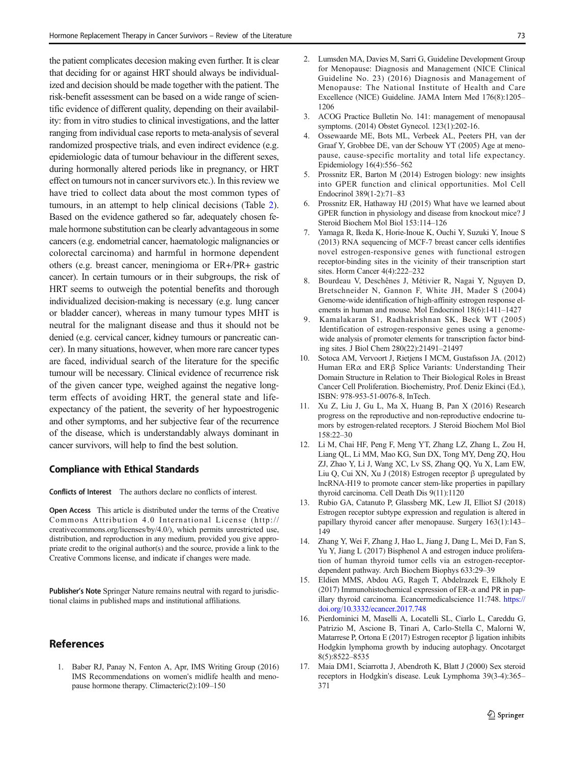<span id="page-10-0"></span>the patient complicates decesion making even further. It is clear that deciding for or against HRT should always be individualized and decision should be made together with the patient. The risk-benefit assessment can be based on a wide range of scientific evidence of different quality, depending on their availability: from in vitro studies to clinical investigations, and the latter ranging from individual case reports to meta-analysis of several randomized prospective trials, and even indirect evidence (e.g. epidemiologic data of tumour behaviour in the different sexes, during hormonally altered periods like in pregnancy, or HRT effect on tumours not in cancer survivors etc.). In this review we have tried to collect data about the most common types of tumours, in an attempt to help clinical decisions (Table [2](#page-9-0)). Based on the evidence gathered so far, adequately chosen female hormone substitution can be clearly advantageous in some cancers (e.g. endometrial cancer, haematologic malignancies or colorectal carcinoma) and harmful in hormone dependent others (e.g. breast cancer, meningioma or ER+/PR+ gastric cancer). In certain tumours or in their subgroups, the risk of HRT seems to outweigh the potential benefits and thorough individualized decision-making is necessary (e.g. lung cancer or bladder cancer), whereas in many tumour types MHT is neutral for the malignant disease and thus it should not be denied (e.g. cervical cancer, kidney tumours or pancreatic cancer). In many situations, however, when more rare cancer types are faced, individual search of the literature for the specific tumour will be necessary. Clinical evidence of recurrence risk of the given cancer type, weighed against the negative longterm effects of avoiding HRT, the general state and lifeexpectancy of the patient, the severity of her hypoestrogenic and other symptoms, and her subjective fear of the recurrence of the disease, which is understandably always dominant in cancer survivors, will help to find the best solution.

#### Compliance with Ethical Standards

Conflicts of Interest The authors declare no conflicts of interest.

Open Access This article is distributed under the terms of the Creative Commons Attribution 4.0 International License (http:// creativecommons.org/licenses/by/4.0/), which permits unrestricted use, distribution, and reproduction in any medium, provided you give appropriate credit to the original author(s) and the source, provide a link to the Creative Commons license, and indicate if changes were made.

Publisher's Note Springer Nature remains neutral with regard to jurisdictional claims in published maps and institutional affiliations.

#### References

1. Baber RJ, Panay N, Fenton A, Apr, IMS Writing Group (2016) IMS Recommendations on women's midlife health and menopause hormone therapy. Climacteric(2):109–150

- 2. Lumsden MA, Davies M, Sarri G, Guideline Development Group for Menopause: Diagnosis and Management (NICE Clinical Guideline No. 23) (2016) Diagnosis and Management of Menopause: The National Institute of Health and Care Excellence (NICE) Guideline. JAMA Intern Med 176(8):1205– 1206
- 3. ACOG Practice Bulletin No. 141: management of menopausal symptoms. (2014) Obstet Gynecol. 123(1):202-16.
- 4. Ossewaarde ME, Bots ML, Verbeek AL, Peeters PH, van der Graaf Y, Grobbee DE, van der Schouw YT (2005) Age at menopause, cause-specific mortality and total life expectancy. Epidemiology 16(4):556–562
- 5. Prossnitz ER, Barton M (2014) Estrogen biology: new insights into GPER function and clinical opportunities. Mol Cell Endocrinol 389(1-2):71–83
- 6. Prossnitz ER, Hathaway HJ (2015) What have we learned about GPER function in physiology and disease from knockout mice? J Steroid Biochem Mol Biol 153:114–126
- 7. Yamaga R, Ikeda K, Horie-Inoue K, Ouchi Y, Suzuki Y, Inoue S (2013) RNA sequencing of MCF-7 breast cancer cells identifies novel estrogen-responsive genes with functional estrogen receptor-binding sites in the vicinity of their transcription start sites. Horm Cancer 4(4):222–232
- 8. Bourdeau V, Deschênes J, Métivier R, Nagai Y, Nguyen D, Bretschneider N, Gannon F, White JH, Mader S (2004) Genome-wide identification of high-affinity estrogen response elements in human and mouse. Mol Endocrinol 18(6):1411–1427
- 9. Kamalakaran S1, Radhakrishnan SK, Beck WT (2005) Identification of estrogen-responsive genes using a genomewide analysis of promoter elements for transcription factor binding sites. J Biol Chem 280(22):21491–21497
- 10. Sotoca AM, Vervoort J, Rietjens I MCM, Gustafsson JA. (2012) Human ERα and ERβ Splice Variants: Understanding Their Domain Structure in Relation to Their Biological Roles in Breast Cancer Cell Proliferation. Biochemistry, Prof. Deniz Ekinci (Ed.), ISBN: 978-953-51-0076-8, InTech.
- 11. Xu Z, Liu J, Gu L, Ma X, Huang B, Pan X (2016) Research progress on the reproductive and non-reproductive endocrine tumors by estrogen-related receptors. J Steroid Biochem Mol Biol 158:22–30
- 12. Li M, Chai HF, Peng F, Meng YT, Zhang LZ, Zhang L, Zou H, Liang QL, Li MM, Mao KG, Sun DX, Tong MY, Deng ZQ, Hou ZJ, Zhao Y, Li J, Wang XC, Lv SS, Zhang QQ, Yu X, Lam EW, Liu Q, Cui XN, Xu J (2018) Estrogen receptor β upregulated by lncRNA-H19 to promote cancer stem-like properties in papillary thyroid carcinoma. Cell Death Dis 9(11):1120
- 13. Rubio GA, Catanuto P, Glassberg MK, Lew JI, Elliot SJ (2018) Estrogen receptor subtype expression and regulation is altered in papillary thyroid cancer after menopause. Surgery 163(1):143– 149
- 14. Zhang Y, Wei F, Zhang J, Hao L, Jiang J, Dang L, Mei D, Fan S, Yu Y, Jiang L (2017) Bisphenol A and estrogen induce proliferation of human thyroid tumor cells via an estrogen-receptordependent pathway. Arch Biochem Biophys 633:29–39
- 15. Eldien MMS, Abdou AG, Rageh T, Abdelrazek E, Elkholy E (2017) Immunohistochemical expression of ER- $\alpha$  and PR in papillary thyroid carcinoma. Ecancermedicalscience 11:748. [https://](https://doi.org/10.3332/ecancer.2017.748) [doi.org/10.3332/ecancer.2017.748](https://doi.org/10.3332/ecancer.2017.748)
- 16. Pierdominici M, Maselli A, Locatelli SL, Ciarlo L, Careddu G, Patrizio M, Ascione B, Tinari A, Carlo-Stella C, Malorni W, Matarrese P, Ortona E (2017) Estrogen receptor β ligation inhibits Hodgkin lymphoma growth by inducing autophagy. Oncotarget 8(5):8522–8535
- 17. Maia DM1, Sciarrotta J, Abendroth K, Blatt J (2000) Sex steroid receptors in Hodgkin's disease. Leuk Lymphoma 39(3-4):365– 371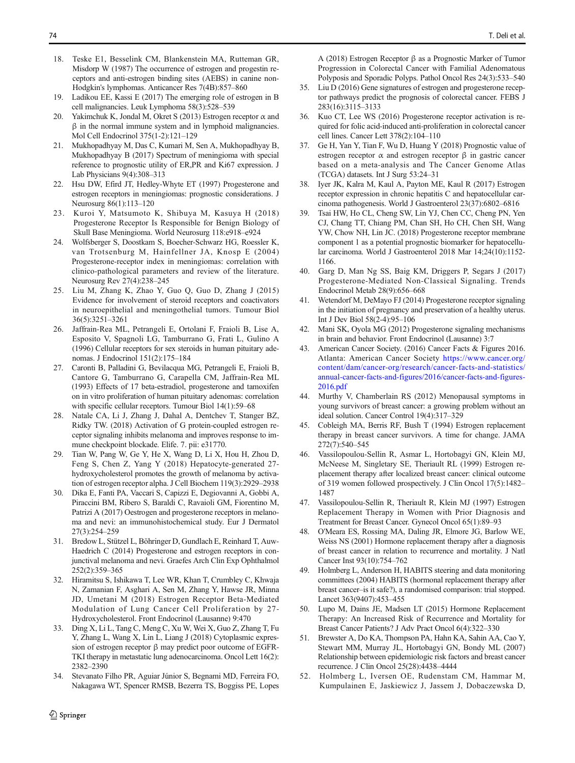- <span id="page-11-0"></span>18. Teske E1, Besselink CM, Blankenstein MA, Rutteman GR, Misdorp W (1987) The occurrence of estrogen and progestin receptors and anti-estrogen binding sites (AEBS) in canine non-Hodgkin's lymphomas. Anticancer Res 7(4B):857–860
- 19. Ladikou EE, Kassi E (2017) The emerging role of estrogen in B cell malignancies. Leuk Lymphoma 58(3):528–539
- 20. Yakimchuk K, Jondal M, Okret S (2013) Estrogen receptor  $\alpha$  and  $β$  in the normal immune system and in lymphoid malignancies. Mol Cell Endocrinol 375(1-2):121–129
- 21. Mukhopadhyay M, Das C, Kumari M, Sen A, Mukhopadhyay B, Mukhopadhyay B (2017) Spectrum of meningioma with special reference to prognostic utility of ER,PR and Ki67 expression. J Lab Physicians 9(4):308–313
- 22. Hsu DW, Efird JT, Hedley-Whyte ET (1997) Progesterone and estrogen receptors in meningiomas: prognostic considerations. J Neurosurg 86(1):113–120
- 23. Kuroi Y, Matsumoto K, Shibuya M, Kasuya H (2018) Progesterone Receptor Is Responsible for Benign Biology of Skull Base Meningioma. World Neurosurg 118:e918–e924
- 24. Wolfsberger S, Doostkam S, Boecher-Schwarz HG, Roessler K, van Trotsenburg M, Hainfellner JA, Knosp E (2004) Progesterone-receptor index in meningiomas: correlation with clinico-pathological parameters and review of the literature. Neurosurg Rev 27(4):238–245
- 25. Liu M, Zhang K, Zhao Y, Guo Q, Guo D, Zhang J (2015) Evidence for involvement of steroid receptors and coactivators in neuroepithelial and meningothelial tumors. Tumour Biol 36(5):3251–3261
- 26. Jaffrain-Rea ML, Petrangeli E, Ortolani F, Fraioli B, Lise A, Esposito V, Spagnoli LG, Tamburrano G, Frati L, Gulino A (1996) Cellular receptors for sex steroids in human pituitary adenomas. J Endocrinol 151(2):175–184
- 27. Caronti B, Palladini G, Bevilacqua MG, Petrangeli E, Fraioli B, Cantore G, Tamburrano G, Carapella CM, Jaffrain-Rea ML (1993) Effects of 17 beta-estradiol, progesterone and tamoxifen on in vitro proliferation of human pituitary adenomas: correlation with specific cellular receptors. Tumour Biol 14(1):59–68
- 28. Natale CA, Li J, Zhang J, Dahal A, Dentchev T, Stanger BZ, Ridky TW. (2018) Activation of G protein-coupled estrogen receptor signaling inhibits melanoma and improves response to immune checkpoint blockade. Elife. 7. pii: e31770.
- 29. Tian W, Pang W, Ge Y, He X, Wang D, Li X, Hou H, Zhou D, Feng S, Chen Z, Yang Y (2018) Hepatocyte-generated 27 hydroxycholesterol promotes the growth of melanoma by activation of estrogen receptor alpha. J Cell Biochem 119(3):2929–2938
- 30. Dika E, Fanti PA, Vaccari S, Capizzi E, Degiovanni A, Gobbi A, Piraccini BM, Ribero S, Baraldi C, Ravaioli GM, Fiorentino M, Patrizi A (2017) Oestrogen and progesterone receptors in melanoma and nevi: an immunohistochemical study. Eur J Dermatol 27(3):254–259
- 31. Bredow L, Stützel L, Böhringer D, Gundlach E, Reinhard T, Auw-Haedrich C (2014) Progesterone and estrogen receptors in conjunctival melanoma and nevi. Graefes Arch Clin Exp Ophthalmol 252(2):359–365
- 32. Hiramitsu S, Ishikawa T, Lee WR, Khan T, Crumbley C, Khwaja N, Zamanian F, Asghari A, Sen M, Zhang Y, Hawse JR, Minna JD, Umetani M (2018) Estrogen Receptor Beta-Mediated Modulation of Lung Cancer Cell Proliferation by 27- Hydroxycholesterol. Front Endocrinol (Lausanne) 9:470
- 33. Ding X, Li L, Tang C, Meng C, Xu W, Wei X, Guo Z, Zhang T, Fu Y, Zhang L, Wang X, Lin L, Liang J (2018) Cytoplasmic expression of estrogen receptor β may predict poor outcome of EGFR-TKI therapy in metastatic lung adenocarcinoma. Oncol Lett 16(2): 2382–2390
- 34. Stevanato Filho PR, Aguiar Júnior S, Begnami MD, Ferreira FO, Nakagawa WT, Spencer RMSB, Bezerra TS, Boggiss PE, Lopes

A (2018) Estrogen Receptor β as a Prognostic Marker of Tumor Progression in Colorectal Cancer with Familial Adenomatous Polyposis and Sporadic Polyps. Pathol Oncol Res 24(3):533–540

- 35. Liu D (2016) Gene signatures of estrogen and progesterone receptor pathways predict the prognosis of colorectal cancer. FEBS J 283(16):3115–3133
- 36. Kuo CT, Lee WS (2016) Progesterone receptor activation is required for folic acid-induced anti-proliferation in colorectal cancer cell lines. Cancer Lett 378(2):104–110
- 37. Ge H, Yan Y, Tian F, Wu D, Huang Y (2018) Prognostic value of estrogen receptor α and estrogen receptor β in gastric cancer based on a meta-analysis and The Cancer Genome Atlas (TCGA) datasets. Int J Surg 53:24–31
- 38. Iyer JK, Kalra M, Kaul A, Payton ME, Kaul R (2017) Estrogen receptor expression in chronic hepatitis C and hepatocellular carcinoma pathogenesis. World J Gastroenterol 23(37):6802–6816
- 39. Tsai HW, Ho CL, Cheng SW, Lin YJ, Chen CC, Cheng PN, Yen CJ, Chang TT, Chiang PM, Chan SH, Ho CH, Chen SH, Wang YW, Chow NH, Lin JC. (2018) Progesterone receptor membrane component 1 as a potential prognostic biomarker for hepatocellular carcinoma. World J Gastroenterol 2018 Mar 14;24(10):1152- 1166.
- 40. Garg D, Man Ng SS, Baig KM, Driggers P, Segars J (2017) Progesterone-Mediated Non-Classical Signaling. Trends Endocrinol Metab 28(9):656–668
- 41. Wetendorf M, DeMayo FJ (2014) Progesterone receptor signaling in the initiation of pregnancy and preservation of a healthy uterus. Int J Dev Biol 58(2-4):95–106
- 42. Mani SK, Oyola MG (2012) Progesterone signaling mechanisms in brain and behavior. Front Endocrinol (Lausanne) 3:7
- 43. American Cancer Society. (2016) Cancer Facts & Figures 2016. Atlanta: American Cancer Society [https://www.cancer.org/](https://www.cancer.org/content/dam/cancer-org/research/cancer-facts-and-statistics/annual-cancer-facts-and-figures/2016/cancer-facts-and-figures-2016.pdf) [content/dam/cancer-org/research/cancer-facts-and-statistics/](https://www.cancer.org/content/dam/cancer-org/research/cancer-facts-and-statistics/annual-cancer-facts-and-figures/2016/cancer-facts-and-figures-2016.pdf) [annual-cancer-facts-and-figures/2016/cancer-facts-and-figures-](https://www.cancer.org/content/dam/cancer-org/research/cancer-facts-and-statistics/annual-cancer-facts-and-figures/2016/cancer-facts-and-figures-2016.pdf)[2016.pdf](https://www.cancer.org/content/dam/cancer-org/research/cancer-facts-and-statistics/annual-cancer-facts-and-figures/2016/cancer-facts-and-figures-2016.pdf)
- 44. Murthy V, Chamberlain RS (2012) Menopausal symptoms in young survivors of breast cancer: a growing problem without an ideal solution. Cancer Control 19(4):317–329
- 45. Cobleigh MA, Berris RF, Bush T (1994) Estrogen replacement therapy in breast cancer survivors. A time for change. JAMA 272(7):540–545
- 46. Vassilopoulou-Sellin R, Asmar L, Hortobagyi GN, Klein MJ, McNeese M, Singletary SE, Theriault RL (1999) Estrogen replacement therapy after localized breast cancer: clinical outcome of 319 women followed prospectively. J Clin Oncol 17(5):1482– 1487
- 47. Vassilopoulou-Sellin R, Theriault R, Klein MJ (1997) Estrogen Replacement Therapy in Women with Prior Diagnosis and Treatment for Breast Cancer. Gynecol Oncol 65(1):89–93
- 48. O'Meara ES, Rossing MA, Daling JR, Elmore JG, Barlow WE, Weiss NS (2001) Hormone replacement therapy after a diagnosis of breast cancer in relation to recurrence and mortality. J Natl Cancer Inst 93(10):754–762
- 49. Holmberg L, Anderson H, HABITS steering and data monitoring committees (2004) HABITS (hormonal replacement therapy after breast cancer–is it safe?), a randomised comparison: trial stopped. Lancet 363(9407):453–455
- 50. Lupo M, Dains JE, Madsen LT (2015) Hormone Replacement Therapy: An Increased Risk of Recurrence and Mortality for Breast Cancer Patients? J Adv Pract Oncol 6(4):322–330
- 51. Brewster A, Do KA, Thompson PA, Hahn KA, Sahin AA, Cao Y, Stewart MM, Murray JL, Hortobagyi GN, Bondy ML (2007) Relationship between epidemiologic risk factors and breast cancer recurrence. J Clin Oncol 25(28):4438–4444
- 52. Holmberg L, Iversen OE, Rudenstam CM, Hammar M, Kumpulainen E, Jaskiewicz J, Jassem J, Dobaczewska D,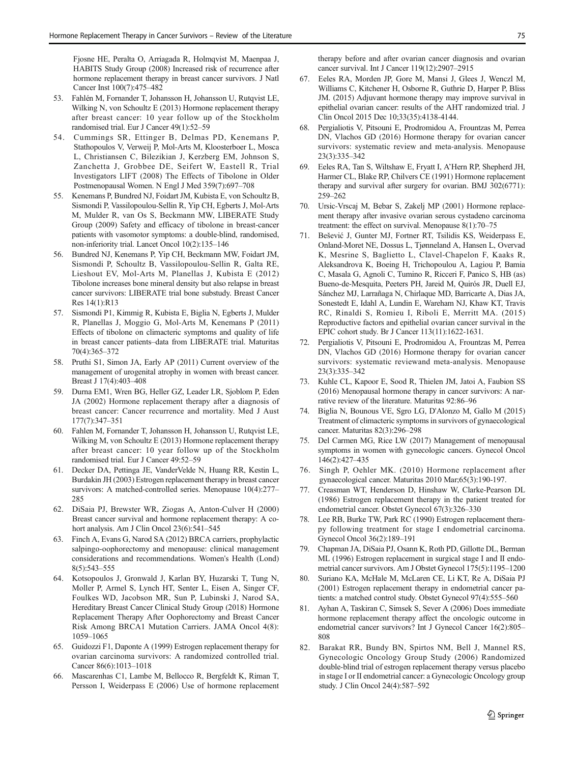<span id="page-12-0"></span>Fjosne HE, Peralta O, Arriagada R, Holmqvist M, Maenpaa J, HABITS Study Group (2008) Increased risk of recurrence after hormone replacement therapy in breast cancer survivors. J Natl Cancer Inst 100(7):475–482

- 53. Fahlén M, Fornander T, Johansson H, Johansson U, Rutqvist LE, Wilking N, von Schoultz E (2013) Hormone replacement therapy after breast cancer: 10 year follow up of the Stockholm randomised trial. Eur J Cancer 49(1):52–59
- 54. Cummings SR, Ettinger B, Delmas PD, Kenemans P, Stathopoulos V, Verweij P, Mol-Arts M, Kloosterboer L, Mosca L, Christiansen C, Bilezikian J, Kerzberg EM, Johnson S, Zanchetta J, Grobbee DE, Seifert W, Eastell R, Trial Investigators LIFT (2008) The Effects of Tibolone in Older Postmenopausal Women. N Engl J Med 359(7):697–708
- 55. Kenemans P, Bundred NJ, Foidart JM, Kubista E, von Schoultz B, Sismondi P, Vassilopoulou-Sellin R, Yip CH, Egberts J, Mol-Arts M, Mulder R, van Os S, Beckmann MW, LIBERATE Study Group (2009) Safety and efficacy of tibolone in breast-cancer patients with vasomotor symptoms: a double-blind, randomised, non-inferiority trial. Lancet Oncol 10(2):135–146
- 56. Bundred NJ, Kenemans P, Yip CH, Beckmann MW, Foidart JM, Sismondi P, Schoultz B, Vassilopoulou-Sellin R, Galta RE, Lieshout EV, Mol-Arts M, Planellas J, Kubista E (2012) Tibolone increases bone mineral density but also relapse in breast cancer survivors: LIBERATE trial bone substudy. Breast Cancer Res 14(1):R13
- 57. Sismondi P1, Kimmig R, Kubista E, Biglia N, Egberts J, Mulder R, Planellas J, Moggio G, Mol-Arts M, Kenemans P (2011) Effects of tibolone on climacteric symptoms and quality of life in breast cancer patients–data from LIBERATE trial. Maturitas 70(4):365–372
- 58. Pruthi S1, Simon JA, Early AP (2011) Current overview of the management of urogenital atrophy in women with breast cancer. Breast J 17(4):403–408
- 59. Durna EM1, Wren BG, Heller GZ, Leader LR, Sjoblom P, Eden JA (2002) Hormone replacement therapy after a diagnosis of breast cancer: Cancer recurrence and mortality. Med J Aust 177(7):347–351
- 60. Fahlen M, Fornander T, Johansson H, Johansson U, Rutqvist LE, Wilking M, von Schoultz E (2013) Hormone replacement therapy after breast cancer: 10 year follow up of the Stockholm randomised trial. Eur J Cancer 49:52–59
- 61. Decker DA, Pettinga JE, VanderVelde N, Huang RR, Kestin L, Burdakin JH (2003) Estrogen replacement therapy in breast cancer survivors: A matched-controlled series. Menopause 10(4):277– 285
- 62. DiSaia PJ, Brewster WR, Ziogas A, Anton-Culver H (2000) Breast cancer survival and hormone replacement therapy: A cohort analysis. Am J Clin Oncol 23(6):541–545
- 63. Finch A, Evans G, Narod SA (2012) BRCA carriers, prophylactic salpingo-oophorectomy and menopause: clinical management considerations and recommendations. Women's Health (Lond) 8(5):543–555
- 64. Kotsopoulos J, Gronwald J, Karlan BY, Huzarski T, Tung N, Moller P, Armel S, Lynch HT, Senter L, Eisen A, Singer CF, Foulkes WD, Jacobson MR, Sun P, Lubinski J, Narod SA, Hereditary Breast Cancer Clinical Study Group (2018) Hormone Replacement Therapy After Oophorectomy and Breast Cancer Risk Among BRCA1 Mutation Carriers. JAMA Oncol 4(8): 1059–1065
- 65. Guidozzi F1, Daponte A (1999) Estrogen replacement therapy for ovarian carcinoma survivors: A randomized controlled trial. Cancer 86(6):1013–1018
- 66. Mascarenhas C1, Lambe M, Bellocco R, Bergfeldt K, Riman T, Persson I, Weiderpass E (2006) Use of hormone replacement

therapy before and after ovarian cancer diagnosis and ovarian cancer survival. Int J Cancer 119(12):2907–2915

- 67. Eeles RA, Morden JP, Gore M, Mansi J, Glees J, Wenczl M, Williams C, Kitchener H, Osborne R, Guthrie D, Harper P, Bliss JM. (2015) Adjuvant hormone therapy may improve survival in epithelial ovarian cancer: results of the AHT randomized trial. J Clin Oncol 2015 Dec 10;33(35):4138-4144.
- 68. Pergialiotis V, Pitsouni E, Prodromidou A, Frountzas M, Perrea DN, Vlachos GD (2016) Hormone therapy for ovarian cancer survivors: systematic review and meta-analysis. Menopause 23(3):335–342
- 69. Eeles RA, Tan S, Wiltshaw E, Fryatt I, A'Hern RP, Shepherd JH, Harmer CL, Blake RP, Chilvers CE (1991) Hormone replacement therapy and survival after surgery for ovarian. BMJ 302(6771): 259–262
- 70. Ursic-Vrscaj M, Bebar S, Zakelj MP (2001) Hormone replacement therapy after invasive ovarian serous cystadeno carcinoma treatment: the effect on survival. Menopause 8(1):70–75
- 71. Bešević J, Gunter MJ, Fortner RT, Tsilidis KS, Weiderpass E, Onland-Moret NE, Dossus L, Tjønneland A, Hansen L, Overvad K, Mesrine S, Baglietto L, Clavel-Chapelon F, Kaaks R, Aleksandrova K, Boeing H, Trichopoulou A, Lagiou P, Bamia C, Masala G, Agnoli C, Tumino R, Ricceri F, Panico S, HB (as) Bueno-de-Mesquita, Peeters PH, Jareid M, Quirós JR, Duell EJ, Sánchez MJ, Larrañaga N, Chirlaque MD, Barricarte A, Dias JA, Sonestedt E, Idahl A, Lundin E, Wareham NJ, Khaw KT, Travis RC, Rinaldi S, Romieu I, Riboli E, Merritt MA. (2015) Reproductive factors and epithelial ovarian cancer survival in the EPIC cohort study. Br J Cancer 113(11):1622-1631.
- 72. Pergialiotis V, Pitsouni E, Prodromidou A, Frountzas M, Perrea DN, Vlachos GD (2016) Hormone therapy for ovarian cancer survivors: systematic reviewand meta-analysis. Menopause 23(3):335–342
- 73. Kuhle CL, Kapoor E, Sood R, Thielen JM, Jatoi A, Faubion SS (2016) Menopausal hormone therapy in cancer survivors: A narrative review of the literature. Maturitas 92:86–96
- 74. Biglia N, Bounous VE, Sgro LG, D'Alonzo M, Gallo M (2015) Treatment of climacteric symptoms in survivors of gynaecological cancer. Maturitas 82(3):296–298
- 75. Del Carmen MG, Rice LW (2017) Management of menopausal symptoms in women with gynecologic cancers. Gynecol Oncol 146(2):427–435
- 76. Singh P, Oehler MK. (2010) Hormone replacement after gynaecological cancer. Maturitas 2010 Mar;65(3):190-197.
- 77. Creasman WT, Henderson D, Hinshaw W, Clarke-Pearson DL (1986) Estrogen replacement therapy in the patient treated for endometrial cancer. Obstet Gynecol 67(3):326–330
- 78. Lee RB, Burke TW, Park RC (1990) Estrogen replacement therapy following treatment for stage I endometrial carcinoma. Gynecol Oncol 36(2):189–191
- 79. Chapman JA, DiSaia PJ, Osann K, Roth PD, Gillotte DL, Berman ML (1996) Estrogen replacement in surgical stage I and II endometrial cancer survivors. Am J Obstet Gynecol 175(5):1195–1200
- 80. Suriano KA, McHale M, McLaren CE, Li KT, Re A, DiSaia PJ (2001) Estrogen replacement therapy in endometrial cancer patients: a matched control study. Obstet Gynecol 97(4):555–560
- 81. Ayhan A, Taskiran C, Simsek S, Sever A (2006) Does immediate hormone replacement therapy affect the oncologic outcome in endometrial cancer survivors? Int J Gynecol Cancer 16(2):805– 808
- 82. Barakat RR, Bundy BN, Spirtos NM, Bell J, Mannel RS, Gynecologic Oncology Group Study (2006) Randomized double-blind trial of estrogen replacement therapy versus placebo in stage I or II endometrial cancer: a Gynecologic Oncology group study. J Clin Oncol 24(4):587–592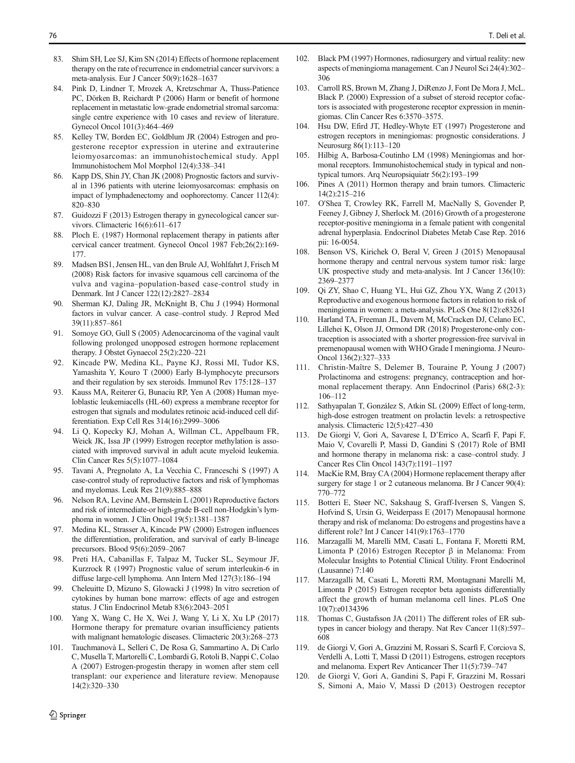- <span id="page-13-0"></span>83. Shim SH, Lee SJ, Kim SN (2014) Effects of hormone replacement therapy on the rate of recurrence in endometrial cancer survivors: a meta-analysis. Eur J Cancer 50(9):1628–1637
- 84. Pink D, Lindner T, Mrozek A, Kretzschmar A, Thuss-Patience PC, Dörken B, Reichardt P (2006) Harm or benefit of hormone replacement in metastatic low-grade endometrial stromal sarcoma: single centre experience with 10 cases and review of literature. Gynecol Oncol 101(3):464–469
- 85. Kelley TW, Borden EC, Goldblum JR (2004) Estrogen and progesterone receptor expression in uterine and extrauterine leiomyosarcomas: an immunohistochemical study. Appl Immunohistochem Mol Morphol 12(4):338–341
- 86. Kapp DS, Shin JY, Chan JK (2008) Prognostic factors and survival in 1396 patients with uterine leiomyosarcomas: emphasis on impact of lymphadenectomy and oophorectomy. Cancer 112(4): 820–830
- 87. Guidozzi F (2013) Estrogen therapy in gynecological cancer survivors. Climacteric 16(6):611–617
- 88. Ploch E. (1987) Hormonal replacement therapy in patients after cervical cancer treatment. Gynecol Oncol 1987 Feb;26(2):169- 177.
- 89. Madsen BS1, Jensen HL, van den Brule AJ, Wohlfahrt J, Frisch M (2008) Risk factors for invasive squamous cell carcinoma of the vulva and vagina–population-based case-control study in Denmark. Int J Cancer 122(12):2827–2834
- 90. Sherman KJ, Daling JR, McKnight B, Chu J (1994) Hormonal factors in vulvar cancer. A case–control study. J Reprod Med 39(11):857–861
- 91. Somoye GO, Gull S (2005) Adenocarcinoma of the vaginal vault following prolonged unopposed estrogen hormone replacement therapy. J Obstet Gynaecol 25(2):220–221
- 92. Kincade PW, Medina KL, Payne KJ, Rossi MI, Tudor KS, Yamashita Y, Kouro T (2000) Early B-lymphocyte precursors and their regulation by sex steroids. Immunol Rev 175:128–137
- 93. Kauss MA, Reiterer G, Bunaciu RP, Yen A (2008) Human myeloblastic leukemiacells (HL-60) express a membrane receptor for estrogen that signals and modulates retinoic acid-induced cell differentiation. Exp Cell Res 314(16):2999–3006
- 94. Li Q, Kopecky KJ, Mohan A, Willman CL, Appelbaum FR, Weick JK, Issa JP (1999) Estrogen receptor methylation is associated with improved survival in adult acute myeloid leukemia. Clin Cancer Res 5(5):1077–1084
- 95. Tavani A, Pregnolato A, La Vecchia C, Franceschi S (1997) A case-control study of reproductive factors and risk of lymphomas and myelomas. Leuk Res 21(9):885–888
- 96. Nelson RA, Levine AM, Bernstein L (2001) Reproductive factors and risk of intermediate-or high-grade B-cell non-Hodgkin's lymphoma in women. J Clin Oncol 19(5):1381–1387
- 97. Medina KL, Strasser A, Kincade PW (2000) Estrogen influences the differentiation, proliferation, and survival of early B-lineage precursors. Blood 95(6):2059–2067
- 98. Preti HA, Cabanillas F, Talpaz M, Tucker SL, Seymour JF, Kurzrock R (1997) Prognostic value of serum interleukin-6 in diffuse large-cell lymphoma. Ann Intern Med 127(3):186–194
- 99. Cheleuitte D, Mizuno S, Glowacki J (1998) In vitro secretion of cytokines by human bone marrow: effects of age and estrogen status. J Clin Endocrinol Metab 83(6):2043–2051
- 100. Yang X, Wang C, He X, Wei J, Wang Y, Li X, Xu LP (2017) Hormone therapy for premature ovarian insufficiency patients with malignant hematologic diseases. Climacteric 20(3):268–273
- 101. Tauchmanovà L, Selleri C, De Rosa G, Sammartino A, Di Carlo C, Musella T, Martorelli C, Lombardi G, Rotoli B, Nappi C, Colao A (2007) Estrogen-progestin therapy in women after stem cell transplant: our experience and literature review. Menopause 14(2):320–330
- 102. Black PM (1997) Hormones, radiosurgery and virtual reality: new aspects of meningioma management. Can J Neurol Sci 24(4):302– 306
- 103. Carroll RS, Brown M, Zhang J, DiRenzo J, Font De Mora J, McL. Black P. (2000) Expression of a subset of steroid receptor cofactors is associated with progesterone receptor expression in meningiomas. Clin Cancer Res 6:3570–3575.
- 104. Hsu DW, Efird JT, Hedley-Whyte ET (1997) Progesterone and estrogen receptors in meningiomas: prognostic considerations. J Neurosurg 86(1):113–120
- 105. Hilbig A, Barbosa-Coutinho LM (1998) Meningiomas and hormonal receptors. Immunohistochemical study in typical and nontypical tumors. Arq Neuropsiquiatr 56(2):193–199
- 106. Pines A (2011) Hormon therapy and brain tumors. Climacteric 14(2):215–216
- 107. O'Shea T, Crowley RK, Farrell M, MacNally S, Govender P, Feeney J, Gibney J, Sherlock M. (2016) Growth of a progesterone receptor-positive meningioma in a female patient with congenital adrenal hyperplasia. Endocrinol Diabetes Metab Case Rep. 2016 pii: 16-0054.
- 108. Benson VS, Kirichek O, Beral V, Green J (2015) Menopausal hormone therapy and central nervous system tumor risk: large UK prospective study and meta-analysis. Int J Cancer 136(10): 2369–2377
- 109. Qi ZY, Shao C, Huang YL, Hui GZ, Zhou YX, Wang Z (2013) Reproductive and exogenous hormone factors in relation to risk of meningioma in women: a meta-analysis. PLoS One 8(12):e83261
- 110. Harland TA, Freeman JL, Davern M, McCracken DJ, Celano EC, Lillehei K, Olson JJ, Ormond DR (2018) Progesterone-only contraception is associated with a shorter progression-free survival in premenopausal women with WHO Grade I meningioma. J Neuro-Oncol 136(2):327–333
- 111. Christin-Maître S, Delemer B, Touraine P, Young J (2007) Prolactinoma and estrogens: pregnancy, contraception and hormonal replacement therapy. Ann Endocrinol (Paris) 68(2-3): 106–112
- 112. Sathyapalan T, González S, Atkin SL (2009) Effect of long-term, high-dose estrogen treatment on prolactin levels: a retrospective analysis. Climacteric 12(5):427–430
- 113. De Giorgi V, Gori A, Savarese I, D'Errico A, Scarfì F, Papi F, Maio V, Covarelli P, Massi D, Gandini S (2017) Role of BMI and hormone therapy in melanoma risk: a case–control study. J Cancer Res Clin Oncol 143(7):1191–1197
- 114. MacKie RM, Bray CA (2004) Hormone replacement therapy after surgery for stage 1 or 2 cutaneous melanoma. Br J Cancer 90(4): 770–772
- 115. Botteri E, Støer NC, Sakshaug S, Graff-Iversen S, Vangen S, Hofvind S, Ursin G, Weiderpass E (2017) Menopausal hormone therapy and risk of melanoma: Do estrogens and progestins have a different role? Int J Cancer 141(9):1763–1770
- 116. Marzagalli M, Marelli MM, Casati L, Fontana F, Moretti RM, Limonta P (2016) Estrogen Receptor β in Melanoma: From Molecular Insights to Potential Clinical Utility. Front Endocrinol (Lausanne) 7:140
- 117. Marzagalli M, Casati L, Moretti RM, Montagnani Marelli M, Limonta P (2015) Estrogen receptor beta agonists differentially affect the growth of human melanoma cell lines. PLoS One 10(7):e0134396
- 118. Thomas C, Gustafsson JA (2011) The different roles of ER subtypes in cancer biology and therapy. Nat Rev Cancer 11(8):597– 608
- 119. de Giorgi V, Gori A, Grazzini M, Rossari S, Scarfì F, Corciova S, Verdelli A, Lotti T, Massi D (2011) Estrogens, estrogen receptors and melanoma. Expert Rev Anticancer Ther 11(5):739–747
- 120. de Giorgi V, Gori A, Gandini S, Papi F, Grazzini M, Rossari S, Simoni A, Maio V, Massi D (2013) Oestrogen receptor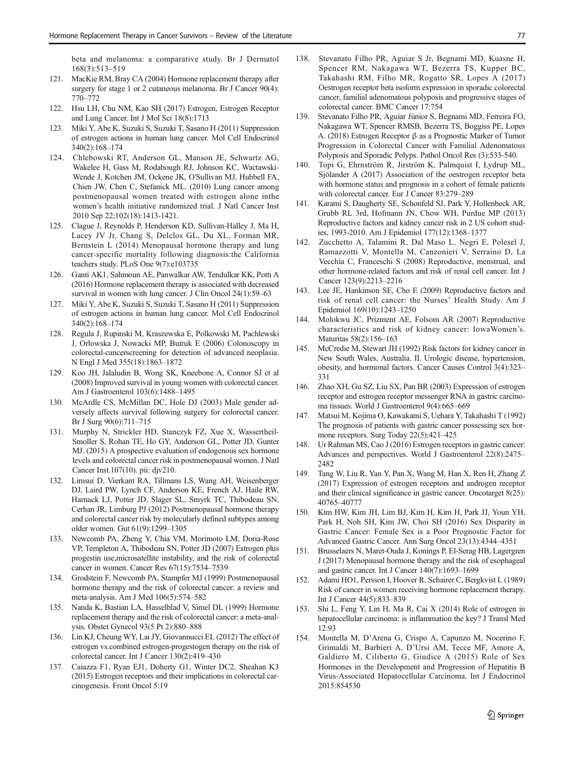beta and melanoma: a comparative study. Br J Dermatol 168(3):513–519

- <span id="page-14-0"></span>121. MacKie RM, Bray CA (2004) Hormone replacement therapy after surgery for stage 1 or 2 cutaneous melanoma. Br J Cancer 90(4): 770–772
- 122. Hsu LH, Chu NM, Kao SH (2017) Estrogen, Estrogen Receptor and Lung Cancer. Int J Mol Sci 18(8):1713
- 123. Miki Y, Abe K, Suzuki S, Suzuki T, Sasano H (2011) Suppression of estrogen actions in human lung cancer. Mol Cell Endocrinol 340(2):168–174
- 124. Chlebowski RT, Anderson GL, Manson JE, Schwartz AG, Wakelee H, Gass M, Rodabough RJ, Johnson KC, Wactawski-Wende J, Kotchen JM, Ockene JK, O'Sullivan MJ, Hubbell FA, Chien JW, Chen C, Stefanick ML. (2010) Lung cancer among postmenopausal women treated with estrogen alone inthe women's health initiative randomized trial. J Natl Cancer Inst 2010 Sep 22;102(18):1413-1421.
- 125. Clague J, Reynolds P, Henderson KD, Sullivan-Halley J, Ma H, Lacey JV Jr, Chang S, Delclos GL, Du XL, Forman MR, Bernstein L (2014) Menopausal hormone therapy and lung cancer-specific mortality following diagnosis:the California teachers study. PLoS One 9(7):e103735
- 126. Ganti AK1, Sahmoun AE, Panwalkar AW, Tendulkar KK, Potti A (2016) Hormone replacement therapy is associated with decreased survival in women with lung cancer. J Clin Oncol 24(1):59–63
- 127. Miki Y, Abe K, Suzuki S, Suzuki T, Sasano H (2011) Suppression of estrogen actions in human lung cancer. Mol Cell Endocrinol 340(2):168–174
- 128. Regula J, Rupinski M, Kraszewska E, Polkowski M, Pachlewski J, Orlowska J, Nowacki MP, Butruk E (2006) Colonoscopy in colorectal-cancerscreening for detection of advanced neoplasia. N Engl J Med 355(18):1863–1872
- 129. Koo JH, Jalaludin B, Wong SK, Kneebone A, Connor SJ et al (2008) Improved survival in young women with colorectal cancer. Am J Gastroenterol 103(6):1488–1495
- 130. McArdle CS, McMillan DC, Hole DJ (2003) Male gender adversely affects survival following surgery for colorectal cancer. Br J Surg 90(6):711–715
- 131. Murphy N, Strickler HD, Stanczyk FZ, Xue X, Wassertheil-Smoller S, Rohan TE, Ho GY, Anderson GL, Potter JD, Gunter MJ. (2015) A prospective evaluation of endogenous sex hormone levels and colorectal cancer risk in postmenopausal women. J Natl Cancer Inst.107(10). pii: djv210.
- 132. Limsui D, Vierkant RA, Tillmans LS, Wang AH, Weisenberger DJ, Laird PW, Lynch CF, Anderson KE, French AJ, Haile RW, Harnack LJ, Potter JD, Slager SL, Smyrk TC, Thibodeau SN, Cerhan JR, Limburg PJ (2012) Postmenopausal hormone therapy and colorectal cancer risk by molecularly defined subtypes among older women. Gut 61(9):1299–1305
- 133. Newcomb PA, Zheng Y, Chia VM, Morimoto LM, Doria-Rose VP, Templeton A, Thibodeau SN, Potter JD (2007) Estrogen plus progestin use,microsatellite instability, and the risk of colorectal cancer in women. Cancer Res 67(15):7534–7539
- 134. Grodstein F, Newcomb PA, Stampfer MJ (1999) Postmenopausal hormone therapy and the risk of colorectal cancer: a review and meta-analysis. Am J Med 106(5):574–582
- 135. Nanda K, Bastian LA, Hasselblad V, Simel DL (1999) Hormone replacement therapy and the risk of colorectal cancer: a meta-analysis. Obstet Gynecol 93(5 Pt 2):880–888
- 136. Lin KJ, Cheung WY, Lai JY, Giovannucci EL (2012) The effect of estrogen vs.combined estrogen-progestogen therapy on the risk of colorectal cancer. Int J Cancer 130(2):419–430
- 137. Caiazza F1, Ryan EJ1, Doherty G1, Winter DC2, Sheahan K3 (2015) Estrogen receptors and their implications in colorectal carcinogenesis. Front Oncol 5:19
- 138. Stevanato Filho PR, Aguiar S Jr, Begnami MD, Kuasne H, Spencer RM, Nakagawa WT, Bezerra TS, Kupper BC, Takahashi RM, Filho MR, Rogatto SR, Lopes A (2017) Oestrogen receptor beta isoform expression in sporadic colorectal cancer, familial adenomatous polyposis and progressive stages of colorectal cancer. BMC Cancer 17:754
- 139. Stevanato Filho PR, Aguiar Júnior S, Begnami MD, Ferreira FO, Nakagawa WT, Spencer RMSB, Bezerra TS, Boggiss PE, Lopes A. (2018) Estrogen Receptor β as a Prognostic Marker of Tumor Progression in Colorectal Cancer with Familial Adenomatous Polyposis and Sporadic Polyps. Pathol Oncol Res (3):533-540.
- 140. Topi G, Ehrnström R, Jirström K, Palmquist I, Lydrup ML, Sjölander A (2017) Association of the oestrogen receptor beta with hormone status and prognosis in a cohort of female patients with colorectal cancer. Eur J Cancer 83:279–289
- 141. Karami S, Daugherty SE, Schonfeld SJ, Park Y, Hollenbeck AR, Grubb RL 3rd, Hofmann JN, Chow WH, Purdue MP (2013) Reproductive factors and kidney cancer risk in 2 US cohort studies, 1993-2010. Am J Epidemiol 177(12):1368–1377
- 142. Zucchetto A, Talamini R, Dal Maso L, Negri E, Polesel J, Ramazzotti V, Montella M, Canzonieri V, Serraino D, La Vecchia C, Franceschi S (2008) Reproductive, menstrual, and other hormone-related factors and risk of renal cell cancer. Int J Cancer 123(9):2213–2216
- 143. Lee JE, Hankinson SE, Cho E (2009) Reproductive factors and risk of renal cell cancer: the Nurses' Health Study. Am J Epidemiol 169(10):1243–1250
- 144. Molokwu JC, Prizment AE, Folsom AR (2007) Reproductive characteristics and risk of kidney cancer: IowaWomen's. Maturitas 58(2):156–163
- 145. McCredie M, Stewart JH (1992) Risk factors for kidney cancer in New South Wales, Australia. II. Urologic disease, hypertension, obesity, and hormonal factors. Cancer Causes Control 3(4):323– 331
- 146. Zhao XH, Gu SZ, Liu SX, Pan BR (2003) Expression of estrogen receptor and estrogen receptor messenger RNA in gastric carcinoma tissues. World J Gastroenterol 9(4):665–669
- 147. Matsui M, Kojima O, Kawakami S, Uehara Y, Takahashi T (1992) The prognosis of patients with gastric cancer possessing sex hormone receptors. Surg Today 22(5):421–425
- 148. Ur Rahman MS, Cao J (2016) Estrogen receptors in gastric cancer: Advances and perspectives. World J Gastroenterol 22(8):2475– 2482
- 149. Tang W, Liu R, Yan Y, Pan X, Wang M, Han X, Ren H, Zhang Z (2017) Expression of estrogen receptors and androgen receptor and their clinical significance in gastric cancer. Oncotarget 8(25): 40765–40777
- 150. Kim HW, Kim JH, Lim BJ, Kim H, Kim H, Park JJ, Youn YH, Park H, Noh SH, Kim JW, Choi SH (2016) Sex Disparity in Gastric Cancer: Female Sex is a Poor Prognostic Factor for Advanced Gastric Cancer. Ann Surg Oncol 23(13):4344–4351
- 151. Brusselaers N, Maret-Ouda J, Konings P, El-Serag HB, Lagergren J (2017) Menopausal hormone therapy and the risk of esophageal and gastric cancer. Int J Cancer 140(7):1693–1699
- 152. Adami HO1, Persson I, Hoover R, Schairer C, Bergkvist L (1989) Risk of cancer in women receiving hormone replacement therapy. Int J Cancer 44(5):833–839
- 153. Shi L, Feng Y, Lin H, Ma R, Cai X (2014) Role of estrogen in hepatocellular carcinoma: is inflammation the key? J Transl Med 12:93
- 154. Montella M, D'Arena G, Crispo A, Capunzo M, Nocerino F, Grimaldi M, Barbieri A, D'Ursi AM, Tecce MF, Amore A, Galdiero M, Ciliberto G, Giudice A (2015) Role of Sex Hormones in the Development and Progression of Hepatitis B Virus-Associated Hepatocellular Carcinoma. Int J Endocrinol 2015:854530